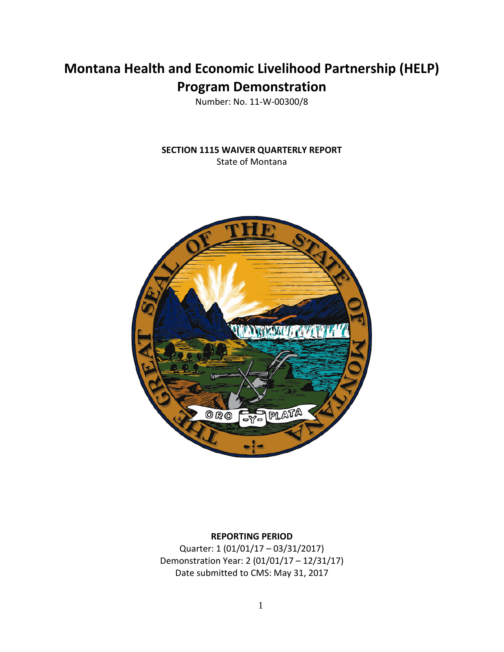# **Montana Health and Economic Livelihood Partnership (HELP) Program Demonstration**

Number: No. 11-W-00300/8

**SECTION 1115 WAIVER QUARTERLY REPORT** State of Montana



# **REPORTING PERIOD**

Quarter: 1 (01/01/17 – 03/31/2017) Demonstration Year: 2 (01/01/17 – 12/31/17) Date submitted to CMS: May 31, 2017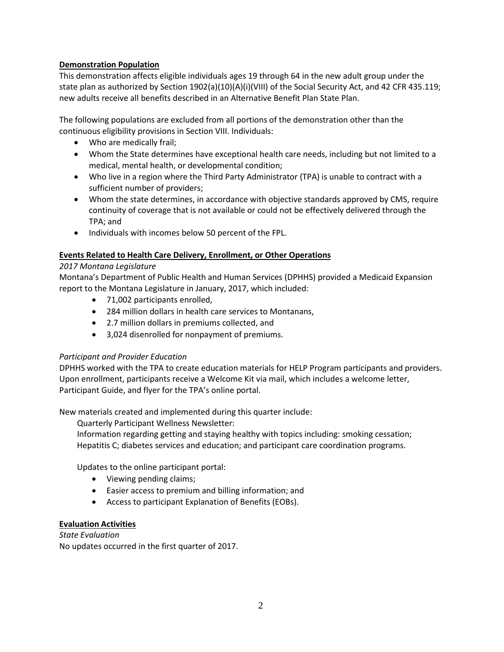# **Demonstration Population**

This demonstration affects eligible individuals ages 19 through 64 in the new adult group under the state plan as authorized by Section 1902(a)(10)(A)(i)(VIII) of the Social Security Act, and 42 CFR 435.119; new adults receive all benefits described in an Alternative Benefit Plan State Plan.

The following populations are excluded from all portions of the demonstration other than the continuous eligibility provisions in Section VIII. Individuals:

- Who are medically frail;
- Whom the State determines have exceptional health care needs, including but not limited to a medical, mental health, or developmental condition;
- Who live in a region where the Third Party Administrator (TPA) is unable to contract with a sufficient number of providers;
- Whom the state determines, in accordance with objective standards approved by CMS, require continuity of coverage that is not available or could not be effectively delivered through the TPA; and
- Individuals with incomes below 50 percent of the FPL.

#### **Events Related to Health Care Delivery, Enrollment, or Other Operations**

#### *2017 Montana Legislature*

Montana's Department of Public Health and Human Services (DPHHS) provided a Medicaid Expansion report to the Montana Legislature in January, 2017, which included:

- 71,002 participants enrolled,
- 284 million dollars in health care services to Montanans,
- 2.7 million dollars in premiums collected, and
- 3,024 disenrolled for nonpayment of premiums.

#### *Participant and Provider Education*

DPHHS worked with the TPA to create education materials for HELP Program participants and providers. Upon enrollment, participants receive a Welcome Kit via mail, which includes a welcome letter, Participant Guide, and flyer for the TPA's online portal.

New materials created and implemented during this quarter include:

Quarterly Participant Wellness Newsletter:

Information regarding getting and staying healthy with topics including: smoking cessation; Hepatitis C; diabetes services and education; and participant care coordination programs.

Updates to the online participant portal:

- Viewing pending claims;
- Easier access to premium and billing information; and
- Access to participant Explanation of Benefits (EOBs).

#### **Evaluation Activities**

*State Evaluation* No updates occurred in the first quarter of 2017.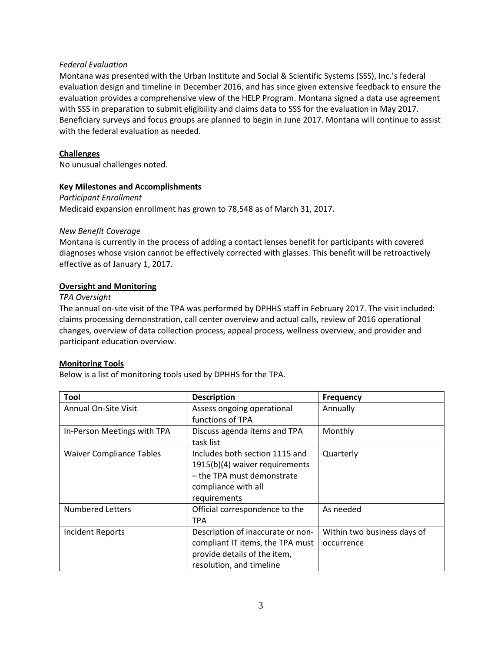#### *Federal Evaluation*

Montana was presented with the Urban Institute and Social & Scientific Systems (SSS), Inc.'s federal evaluation design and timeline in December 2016, and has since given extensive feedback to ensure the evaluation provides a comprehensive view of the HELP Program. Montana signed a data use agreement with SSS in preparation to submit eligibility and claims data to SSS for the evaluation in May 2017. Beneficiary surveys and focus groups are planned to begin in June 2017. Montana will continue to assist with the federal evaluation as needed.

#### **Challenges**

No unusual challenges noted.

#### **Key Milestones and Accomplishments**

*Participant Enrollment* Medicaid expansion enrollment has grown to 78,548 as of March 31, 2017.

#### *New Benefit Coverage*

Montana is currently in the process of adding a contact lenses benefit for participants with covered diagnoses whose vision cannot be effectively corrected with glasses. This benefit will be retroactively effective as of January 1, 2017.

#### **Oversight and Monitoring**

#### *TPA Oversight*

The annual on-site visit of the TPA was performed by DPHHS staff in February 2017. The visit included: claims processing demonstration, call center overview and actual calls, review of 2016 operational changes, overview of data collection process, appeal process, wellness overview, and provider and participant education overview.

#### **Monitoring Tools**

Below is a list of monitoring tools used by DPHHS for the TPA.

| <b>Tool</b>                     | <b>Description</b>                | <b>Frequency</b>            |
|---------------------------------|-----------------------------------|-----------------------------|
| <b>Annual On-Site Visit</b>     | Assess ongoing operational        | Annually                    |
|                                 | functions of TPA                  |                             |
| In-Person Meetings with TPA     | Discuss agenda items and TPA      | Monthly                     |
|                                 | task list                         |                             |
| <b>Waiver Compliance Tables</b> | Includes both section 1115 and    | Quarterly                   |
|                                 | 1915(b)(4) waiver requirements    |                             |
|                                 | - the TPA must demonstrate        |                             |
|                                 | compliance with all               |                             |
|                                 | requirements                      |                             |
| <b>Numbered Letters</b>         | Official correspondence to the    | As needed                   |
|                                 | <b>TPA</b>                        |                             |
| <b>Incident Reports</b>         | Description of inaccurate or non- | Within two business days of |
|                                 | compliant IT items, the TPA must  | occurrence                  |
|                                 | provide details of the item,      |                             |
|                                 | resolution, and timeline          |                             |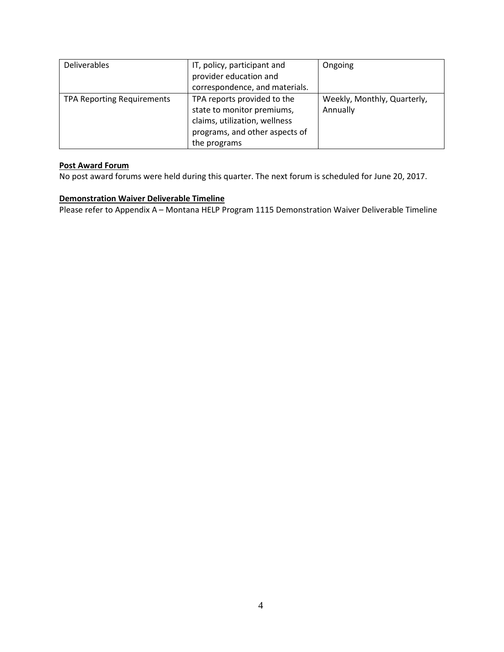| <b>Deliverables</b>               | IT, policy, participant and    | Ongoing                     |
|-----------------------------------|--------------------------------|-----------------------------|
|                                   | provider education and         |                             |
|                                   | correspondence, and materials. |                             |
| <b>TPA Reporting Requirements</b> | TPA reports provided to the    | Weekly, Monthly, Quarterly, |
|                                   | state to monitor premiums,     | Annually                    |
|                                   | claims, utilization, wellness  |                             |
|                                   | programs, and other aspects of |                             |
|                                   | the programs                   |                             |

#### **Post Award Forum**

No post award forums were held during this quarter. The next forum is scheduled for June 20, 2017.

## **Demonstration Waiver Deliverable Timeline**

Please refer to Appendix A – Montana HELP Program 1115 Demonstration Waiver Deliverable Timeline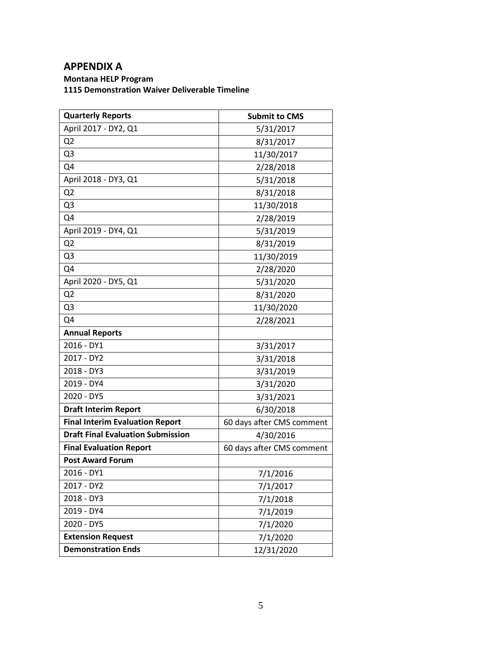# **APPENDIX A**

# **Montana HELP Program 1115 Demonstration Waiver Deliverable Timeline**

| <b>Quarterly Reports</b>                 | <b>Submit to CMS</b>      |
|------------------------------------------|---------------------------|
| April 2017 - DY2, Q1                     | 5/31/2017                 |
| Q <sub>2</sub>                           | 8/31/2017                 |
| Q <sub>3</sub>                           | 11/30/2017                |
| Q4                                       | 2/28/2018                 |
| April 2018 - DY3, Q1                     | 5/31/2018                 |
| Q <sub>2</sub>                           | 8/31/2018                 |
| Q <sub>3</sub>                           | 11/30/2018                |
| Q4                                       | 2/28/2019                 |
| April 2019 - DY4, Q1                     | 5/31/2019                 |
| Q <sub>2</sub>                           | 8/31/2019                 |
| Q <sub>3</sub>                           | 11/30/2019                |
| Q4                                       | 2/28/2020                 |
| April 2020 - DY5, Q1                     | 5/31/2020                 |
| Q <sub>2</sub>                           | 8/31/2020                 |
| Q <sub>3</sub>                           | 11/30/2020                |
| Q4                                       | 2/28/2021                 |
| <b>Annual Reports</b>                    |                           |
| 2016 - DY1                               | 3/31/2017                 |
| 2017 - DY2                               | 3/31/2018                 |
| 2018 - DY3                               | 3/31/2019                 |
| 2019 - DY4                               | 3/31/2020                 |
| 2020 - DY5                               | 3/31/2021                 |
| <b>Draft Interim Report</b>              | 6/30/2018                 |
| <b>Final Interim Evaluation Report</b>   | 60 days after CMS comment |
| <b>Draft Final Evaluation Submission</b> | 4/30/2016                 |
| <b>Final Evaluation Report</b>           | 60 days after CMS comment |
| <b>Post Award Forum</b>                  |                           |
| 2016 - DY1                               | 7/1/2016                  |
| 2017 - DY2                               | 7/1/2017                  |
| 2018 - DY3                               | 7/1/2018                  |
| 2019 - DY4                               | 7/1/2019                  |
| 2020 - DY5                               | 7/1/2020                  |
| <b>Extension Request</b>                 | 7/1/2020                  |
| <b>Demonstration Ends</b>                | 12/31/2020                |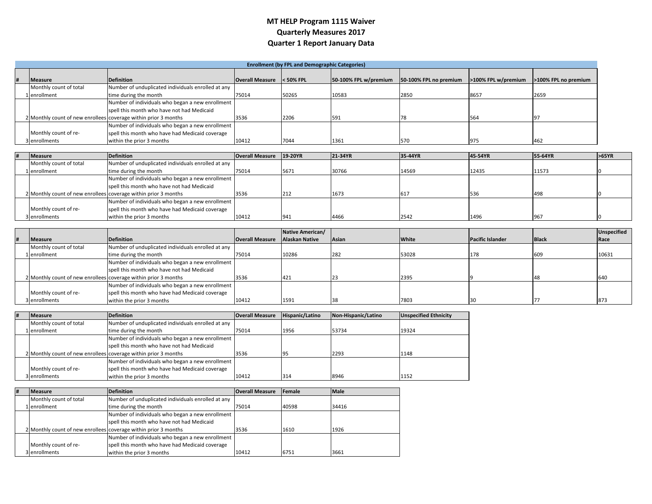# **MT HELP Program 1115 Waiver Quarterly Measures 2017 Quarter 1 Report January Data**

|  |                        |                                                                 |                        | <b>Enrollment (by FPL and Demographic Categories)</b> |                       |                        |                     |                      |
|--|------------------------|-----------------------------------------------------------------|------------------------|-------------------------------------------------------|-----------------------|------------------------|---------------------|----------------------|
|  | <b>Measure</b>         | <b>Definition</b>                                               | <b>Overall Measure</b> | $<$ 50% FPL                                           | 50-100% FPL w/premium | 50-100% FPL no premium | >100% FPL w/premium | >100% FPL no premium |
|  | Monthly count of total | Number of unduplicated individuals enrolled at any              |                        |                                                       |                       |                        |                     |                      |
|  | 1 lenrollment          | time during the month                                           | 75014                  | 50265                                                 | 10583                 | 2850                   | 8657                | 2659                 |
|  |                        | Number of individuals who began a new enrollment                |                        |                                                       |                       |                        |                     |                      |
|  |                        | spell this month who have not had Medicaid                      |                        |                                                       |                       |                        |                     |                      |
|  |                        | 2 Monthly count of new enrollees coverage within prior 3 months | 3536                   | 2206                                                  | 591                   | 78                     | 564                 |                      |
|  |                        | Number of individuals who began a new enrollment                |                        |                                                       |                       |                        |                     |                      |
|  | Monthly count of re-   | spell this month who have had Medicaid coverage                 |                        |                                                       |                       |                        |                     |                      |
|  | 3 enrollments          | within the prior 3 months                                       | 10412                  | 7044                                                  | 1361                  | 570                    | 975                 | 462                  |

|  | <b>Measure</b>         | <b>Definition</b>                                               | <b>Overall Measure</b> | 19-20YR | 21-34YR | 35-44YR | 45-54YR | 55-64YR | >65YR |
|--|------------------------|-----------------------------------------------------------------|------------------------|---------|---------|---------|---------|---------|-------|
|  | Monthly count of total | Number of unduplicated individuals enrolled at any              |                        |         |         |         |         |         |       |
|  | 1 enrollment           | time during the month                                           | 75014                  | 5671    | 30766   | 14569   | 12435   | 11573   |       |
|  |                        | Number of individuals who began a new enrollment                |                        |         |         |         |         |         |       |
|  |                        | spell this month who have not had Medicaid                      |                        |         |         |         |         |         |       |
|  |                        | 2 Monthly count of new enrollees coverage within prior 3 months | 3536                   | 212     | 1673    |         | 1536    | 498     |       |
|  |                        | Number of individuals who began a new enrollment                |                        |         |         |         |         |         |       |
|  | Monthly count of re-   | spell this month who have had Medicaid coverage                 |                        |         |         |         |         |         |       |
|  | 3 enrollments          | within the prior 3 months                                       | 10412                  | 941     | 4466    | 2542    | 1496    | 967     |       |

|                        |                                                                 |                        | Native American/ |       |              |                         |              | <b>Unspecified</b> |
|------------------------|-----------------------------------------------------------------|------------------------|------------------|-------|--------------|-------------------------|--------------|--------------------|
| <b>Measure</b>         | <b>Definition</b>                                               | <b>Overall Measure</b> | Alaskan Native   | Asian | <b>White</b> | <b>Pacific Islander</b> | <b>Black</b> | Race               |
| Monthly count of total | Number of unduplicated individuals enrolled at any              |                        |                  |       |              |                         |              |                    |
| 1 enrollment           | time during the month                                           | 75014                  | 10286            | 282   | 53028        | 178                     |              | 10631              |
|                        | Number of individuals who began a new enrollment                |                        |                  |       |              |                         |              |                    |
|                        | spell this month who have not had Medicaid                      |                        |                  |       |              |                         |              |                    |
|                        | 2 Monthly count of new enrollees coverage within prior 3 months | 3536                   |                  |       | 2395         |                         |              |                    |
|                        | Number of individuals who began a new enrollment                |                        |                  |       |              |                         |              |                    |
| Monthly count of re-   | spell this month who have had Medicaid coverage                 |                        |                  |       |              |                         |              |                    |
| 3 enrollments          | within the prior 3 months                                       | 10412                  | 1591             |       | 7803         |                         |              |                    |

| # | <b>Measure</b>                                                  | <b>Definition</b>                                  | <b>Overall Measure</b> | Hispanic/Latino | Non-Hispanic/Latino | <b>Unspecified Ethnicity</b> |
|---|-----------------------------------------------------------------|----------------------------------------------------|------------------------|-----------------|---------------------|------------------------------|
|   | Monthly count of total                                          | Number of unduplicated individuals enrolled at any |                        |                 |                     |                              |
|   | 1 lenrollment                                                   | time during the month                              | 75014                  | 1956            | 53734               | 19324                        |
|   |                                                                 | Number of individuals who began a new enrollment   |                        |                 |                     |                              |
|   |                                                                 | spell this month who have not had Medicaid         |                        |                 |                     |                              |
|   | 2 Monthly count of new enrollees coverage within prior 3 months |                                                    | 3536                   | -95             | 2293                | 1148                         |
|   |                                                                 | Number of individuals who began a new enrollment   |                        |                 |                     |                              |
|   | Monthly count of re-                                            | spell this month who have had Medicaid coverage    |                        |                 |                     |                              |
|   | 3 enrollments                                                   | within the prior 3 months                          | 10412                  | 314             | 8946                | 1152                         |

| # | <b>Measure</b>                                                  | Definition                                         | <b>Overall Measure</b> | Female | <b>Male</b> |
|---|-----------------------------------------------------------------|----------------------------------------------------|------------------------|--------|-------------|
|   | Monthly count of total                                          | Number of unduplicated individuals enrolled at any |                        |        |             |
|   | 1 lenrollment                                                   | time during the month                              | 75014                  | 40598  | 34416       |
|   |                                                                 | Number of individuals who began a new enrollment   |                        |        |             |
|   |                                                                 | spell this month who have not had Medicaid         |                        |        |             |
|   | 2 Monthly count of new enrollees coverage within prior 3 months |                                                    | 3536                   | 1610   | 1926        |
|   |                                                                 | Number of individuals who began a new enrollment   |                        |        |             |
|   | Monthly count of re-                                            | spell this month who have had Medicaid coverage    |                        |        |             |
|   | 3 enrollments                                                   | within the prior 3 months                          | 10412                  | 6751   | 3661        |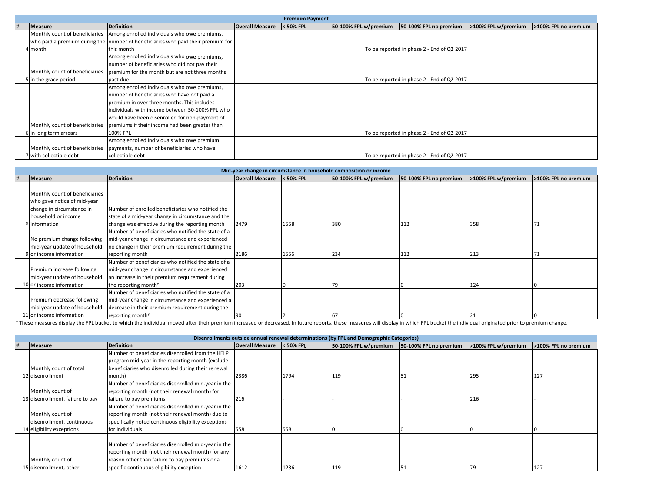|                                |                                                                                  |                        | <b>Premium Payment</b> |                       |                                            |                     |                             |
|--------------------------------|----------------------------------------------------------------------------------|------------------------|------------------------|-----------------------|--------------------------------------------|---------------------|-----------------------------|
| <b>Measure</b>                 | <b>Definition</b>                                                                | <b>Overall Measure</b> | $<$ 50% FPL            | 50-100% FPL w/premium | 50-100% FPL no premium                     | >100% FPL w/premium | <b>1200% FPL no premium</b> |
|                                | Monthly count of beneficiaries Among enrolled individuals who owe premiums,      |                        |                        |                       |                                            |                     |                             |
|                                | who paid a premium during the number of beneficiaries who paid their premium for |                        |                        |                       |                                            |                     |                             |
| 4 month                        | this month                                                                       |                        |                        |                       | To be reported in phase 2 - End of Q2 2017 |                     |                             |
|                                | Among enrolled individuals who owe premiums,                                     |                        |                        |                       |                                            |                     |                             |
|                                | number of beneficiaries who did not pay their                                    |                        |                        |                       |                                            |                     |                             |
| Monthly count of beneficiaries | oremium for the month but are not three months                                   |                        |                        |                       |                                            |                     |                             |
| 5 in the grace period          | past due                                                                         |                        |                        |                       | To be reported in phase 2 - End of Q2 2017 |                     |                             |
|                                | Among enrolled individuals who owe premiums,                                     |                        |                        |                       |                                            |                     |                             |
|                                | number of beneficiaries who have not paid a                                      |                        |                        |                       |                                            |                     |                             |
|                                | premium in over three months. This includes                                      |                        |                        |                       |                                            |                     |                             |
|                                | individuals with income between 50-100% FPL who                                  |                        |                        |                       |                                            |                     |                             |
|                                | would have been disenrolled for non-payment of                                   |                        |                        |                       |                                            |                     |                             |
|                                | Monthly count of beneficiaries premiums if their income had been greater than    |                        |                        |                       |                                            |                     |                             |
| 6 in long term arrears         | 100% FPL                                                                         |                        |                        |                       | To be reported in phase 2 - End of Q2 2017 |                     |                             |
|                                | Among enrolled individuals who owe premium                                       |                        |                        |                       |                                            |                     |                             |
| Monthly count of beneficiaries | payments, number of beneficiaries who have                                       |                        |                        |                       |                                            |                     |                             |
| with collectible debt          | collectible debt                                                                 |                        |                        |                       | To be reported in phase 2 - End of Q2 2017 |                     |                             |

|                                |                                                     |                        |             | Mid-year change in circumstance in household composition or income |                        |                     |                      |
|--------------------------------|-----------------------------------------------------|------------------------|-------------|--------------------------------------------------------------------|------------------------|---------------------|----------------------|
| <b>Measure</b>                 | <b>Definition</b>                                   | <b>Overall Measure</b> | $<$ 50% FPL | 50-100% FPL w/premium                                              | 50-100% FPL no premium | >100% FPL w/premium | >100% FPL no premium |
|                                |                                                     |                        |             |                                                                    |                        |                     |                      |
| Monthly count of beneficiaries |                                                     |                        |             |                                                                    |                        |                     |                      |
| who gave notice of mid-year    |                                                     |                        |             |                                                                    |                        |                     |                      |
| change in circumstance in      | Number of enrolled beneficiaries who notified the   |                        |             |                                                                    |                        |                     |                      |
| household or income            | state of a mid-year change in circumstance and the  |                        |             |                                                                    |                        |                     |                      |
| 8 Information                  | change was effective during the reporting month     | 2479                   | 1558        | 380                                                                | 112                    | 358                 |                      |
|                                | Number of beneficiaries who notified the state of a |                        |             |                                                                    |                        |                     |                      |
| No premium change following    | mid-year change in circumstance and experienced     |                        |             |                                                                    |                        |                     |                      |
| mid-year update of household   | no change in their premium requirement during the   |                        |             |                                                                    |                        |                     |                      |
| 9 or income information        | reporting month                                     | 2186                   | 1556        | 234                                                                | 112                    | 213                 |                      |
|                                | Number of beneficiaries who notified the state of a |                        |             |                                                                    |                        |                     |                      |
| Premium increase following     | mid-year change in circumstance and experienced     |                        |             |                                                                    |                        |                     |                      |
| mid-year update of household   | an increase in their premium requirement during     |                        |             |                                                                    |                        |                     |                      |
| 10 or income information       | the reporting month <sup>*</sup>                    | 203                    |             |                                                                    |                        | 124                 |                      |
|                                | Number of beneficiaries who notified the state of a |                        |             |                                                                    |                        |                     |                      |
| Premium decrease following     | mid-year change in circumstance and experienced a   |                        |             |                                                                    |                        |                     |                      |
| mid-year update of household   | decrease in their premium requirement during the    |                        |             |                                                                    |                        |                     |                      |
| 11 or income information       | reporting month <sup>*</sup>                        |                        |             |                                                                    |                        |                     |                      |

These measures display the FPL bucket to which the individual moved after their premium increased or decreased. In future reports, these measures will display in which FPL bucket the individual originated prior to premium

|  |                                  |                                                      |                        |             | Disenrollments outside annual renewal determinations (by FPL and Demographic Categories) |                        |                     |                      |
|--|----------------------------------|------------------------------------------------------|------------------------|-------------|------------------------------------------------------------------------------------------|------------------------|---------------------|----------------------|
|  | <b>Measure</b>                   | <b>Definition</b>                                    | <b>Overall Measure</b> | $<$ 50% FPL | 50-100% FPL w/premium                                                                    | 50-100% FPL no premium | >100% FPL w/premium | >100% FPL no premium |
|  |                                  | Number of beneficiaries disenrolled from the HELP    |                        |             |                                                                                          |                        |                     |                      |
|  |                                  | program mid-year in the reporting month (exclude     |                        |             |                                                                                          |                        |                     |                      |
|  | Monthly count of total           | beneficiaries who disenrolled during their renewal   |                        |             |                                                                                          |                        |                     |                      |
|  | 12 disenrollment                 | month)                                               | 2386                   | 1794        | 119                                                                                      |                        | 295                 | 127                  |
|  |                                  | Number of beneficiaries disenrolled mid-year in the  |                        |             |                                                                                          |                        |                     |                      |
|  | Monthly count of                 | reporting month (not their renewal month) for        |                        |             |                                                                                          |                        |                     |                      |
|  | 13 disenrollment, failure to pay | failure to pay premiums                              | 216                    |             |                                                                                          |                        | 216                 |                      |
|  |                                  | Number of beneficiaries disenrolled mid-year in the  |                        |             |                                                                                          |                        |                     |                      |
|  | Monthly count of                 | reporting month (not their renewal month) due to     |                        |             |                                                                                          |                        |                     |                      |
|  | disenrollment, continuous        | specifically noted continuous eligibility exceptions |                        |             |                                                                                          |                        |                     |                      |
|  | 14 eligibility exceptions        | for individuals                                      |                        | 558         |                                                                                          |                        |                     |                      |
|  |                                  | Number of beneficiaries disenrolled mid-year in the  |                        |             |                                                                                          |                        |                     |                      |
|  |                                  | reporting month (not their renewal month) for any    |                        |             |                                                                                          |                        |                     |                      |
|  | Monthly count of                 | reason other than failure to pay premiums or a       |                        |             |                                                                                          |                        |                     |                      |
|  | 15 disenrollment, other          | specific continuous eligibility exception            | 1612                   | 1236        | 119                                                                                      | 51                     | 179                 | 127                  |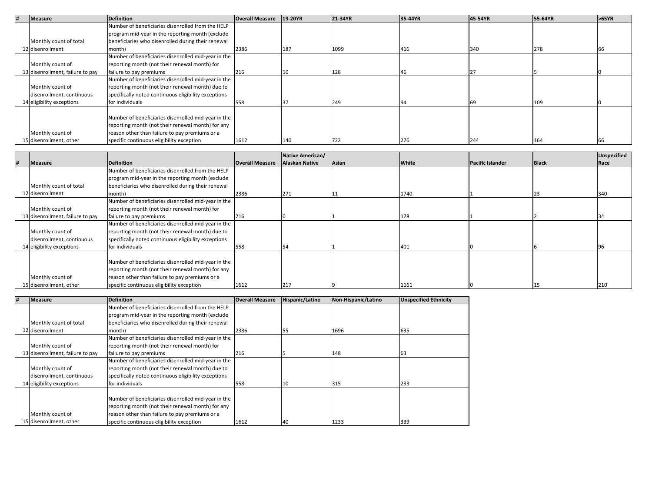| <b>Measure</b>                   | <b>Definition</b>                                    | <b>Overall Measure</b> | 19-20YR | 21-34YR | 35-44YR | 45-54YR | 55-64YR | >65YR |
|----------------------------------|------------------------------------------------------|------------------------|---------|---------|---------|---------|---------|-------|
|                                  | Number of beneficiaries disenrolled from the HELP    |                        |         |         |         |         |         |       |
|                                  | program mid-year in the reporting month (exclude     |                        |         |         |         |         |         |       |
| Monthly count of total           | beneficiaries who disenrolled during their renewal   |                        |         |         |         |         |         |       |
| 12 disenrollment                 | month)                                               | 2386                   | 187     | 1099    | 416     | 340     | 278     |       |
|                                  | Number of beneficiaries disenrolled mid-year in the  |                        |         |         |         |         |         |       |
| Monthly count of                 | reporting month (not their renewal month) for        |                        |         |         |         |         |         |       |
| 13 disenrollment, failure to pay | failure to pay premiums                              | 216                    |         | 128     |         |         |         |       |
|                                  | Number of beneficiaries disenrolled mid-year in the  |                        |         |         |         |         |         |       |
| Monthly count of                 | reporting month (not their renewal month) due to     |                        |         |         |         |         |         |       |
| disenrollment, continuous        | specifically noted continuous eligibility exceptions |                        |         |         |         |         |         |       |
| 14 eligibility exceptions        | for individuals                                      | 558                    |         | 249     |         | 69      | 109     |       |
|                                  |                                                      |                        |         |         |         |         |         |       |
|                                  | Number of beneficiaries disenrolled mid-year in the  |                        |         |         |         |         |         |       |
|                                  | reporting month (not their renewal month) for any    |                        |         |         |         |         |         |       |
| Monthly count of                 | reason other than failure to pay premiums or a       |                        |         |         |         |         |         |       |
| 15 disenrollment, other          | specific continuous eligibility exception            | 1612                   | 140     | 722     | 276     | 244     | 164     |       |

|                                  |                                                      |                        | Native American/      |       |       |                         |              | Unspecified |
|----------------------------------|------------------------------------------------------|------------------------|-----------------------|-------|-------|-------------------------|--------------|-------------|
| <b>Measure</b>                   | <b>Definition</b>                                    | <b>Overall Measure</b> | <b>Alaskan Native</b> | Asian | White | <b>Pacific Islander</b> | <b>Black</b> | Race        |
|                                  | Number of beneficiaries disenrolled from the HELP    |                        |                       |       |       |                         |              |             |
|                                  | program mid-year in the reporting month (exclude     |                        |                       |       |       |                         |              |             |
| Monthly count of total           | beneficiaries who disenrolled during their renewal   |                        |                       |       |       |                         |              |             |
| 12 disenrollment                 | month)                                               | 2386                   | 271                   |       | 1740  |                         |              | 340         |
|                                  | Number of beneficiaries disenrolled mid-year in the  |                        |                       |       |       |                         |              |             |
| Monthly count of                 | reporting month (not their renewal month) for        |                        |                       |       |       |                         |              |             |
| 13 disenrollment, failure to pay | failure to pay premiums                              | 216                    |                       |       | 178   |                         |              |             |
|                                  | Number of beneficiaries disenrolled mid-year in the  |                        |                       |       |       |                         |              |             |
| Monthly count of                 | reporting month (not their renewal month) due to     |                        |                       |       |       |                         |              |             |
| disenrollment, continuous        | specifically noted continuous eligibility exceptions |                        |                       |       |       |                         |              |             |
| 14 eligibility exceptions        | for individuals                                      | 558                    |                       |       | 401   |                         |              |             |
|                                  |                                                      |                        |                       |       |       |                         |              |             |
|                                  | Number of beneficiaries disenrolled mid-year in the  |                        |                       |       |       |                         |              |             |
|                                  | reporting month (not their renewal month) for any    |                        |                       |       |       |                         |              |             |
| Monthly count of                 | reason other than failure to pay premiums or a       |                        |                       |       |       |                         |              |             |
| 15 disenrollment, other          | specific continuous eligibility exception            | 1612                   | 217                   |       | 1161  |                         |              | 210         |

| # | <b>Measure</b>                   | <b>Definition</b>                                    | <b>Overall Measure</b> | Hispanic/Latino | Non-Hispanic/Latino | <b>Unspecified Ethnicity</b> |
|---|----------------------------------|------------------------------------------------------|------------------------|-----------------|---------------------|------------------------------|
|   |                                  | Number of beneficiaries disenrolled from the HELP    |                        |                 |                     |                              |
|   |                                  | program mid-year in the reporting month (exclude     |                        |                 |                     |                              |
|   | Monthly count of total           | beneficiaries who disenrolled during their renewal   |                        |                 |                     |                              |
|   | 12 disenrollment                 | month)                                               | 2386                   | 55              | 1696                | 635                          |
|   |                                  | Number of beneficiaries disenrolled mid-year in the  |                        |                 |                     |                              |
|   | Monthly count of                 | reporting month (not their renewal month) for        |                        |                 |                     |                              |
|   | 13 disenrollment, failure to pay | failure to pay premiums                              | 216                    |                 | 148                 | 63                           |
|   |                                  | Number of beneficiaries disenrolled mid-year in the  |                        |                 |                     |                              |
|   | Monthly count of                 | reporting month (not their renewal month) due to     |                        |                 |                     |                              |
|   | disenrollment, continuous        | specifically noted continuous eligibility exceptions |                        |                 |                     |                              |
|   | 14 eligibility exceptions        | for individuals                                      | 558                    | 10              | 315                 | 233                          |
|   |                                  |                                                      |                        |                 |                     |                              |
|   |                                  | Number of beneficiaries disenrolled mid-year in the  |                        |                 |                     |                              |
|   |                                  | reporting month (not their renewal month) for any    |                        |                 |                     |                              |
|   | Monthly count of                 | reason other than failure to pay premiums or a       |                        |                 |                     |                              |
|   | 15 disenrollment, other          | specific continuous eligibility exception            | 1612                   | 40              | 1233                | 339                          |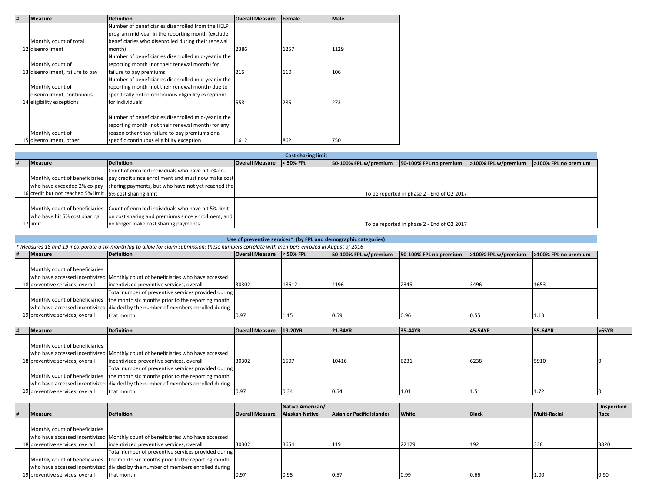| # | <b>Measure</b>                   | <b>Definition</b>                                    | <b>Overall Measure</b> | <b>Female</b> | <b>Male</b> |
|---|----------------------------------|------------------------------------------------------|------------------------|---------------|-------------|
|   |                                  | Number of beneficiaries disenrolled from the HELP    |                        |               |             |
|   |                                  | program mid-year in the reporting month (exclude     |                        |               |             |
|   | Monthly count of total           | beneficiaries who disenrolled during their renewal   |                        |               |             |
|   | 12 disenrollment                 | month)                                               | 2386                   | 1257          | 1129        |
|   |                                  | Number of beneficiaries disenrolled mid-vear in the  |                        |               |             |
|   | Monthly count of                 | reporting month (not their renewal month) for        |                        |               |             |
|   | 13 disenrollment, failure to pay | failure to pay premiums                              | 216                    | 110           | 106         |
|   |                                  | Number of beneficiaries disenrolled mid-year in the  |                        |               |             |
|   | Monthly count of                 | reporting month (not their renewal month) due to     |                        |               |             |
|   | disenrollment, continuous        | specifically noted continuous eligibility exceptions |                        |               |             |
|   | 14 eligibility exceptions        | for individuals                                      | 558                    | 285           | 273         |
|   |                                  |                                                      |                        |               |             |
|   |                                  | Number of beneficiaries disenrolled mid-year in the  |                        |               |             |
|   |                                  | reporting month (not their renewal month) for any    |                        |               |             |
|   | Monthly count of                 | reason other than failure to pay premiums or a       |                        |               |             |
|   | 15 disenrollment, other          | specific continuous eligibility exception            | 1612                   | 862           | 750         |

|                                                          |                                                                                     |                        | <b>Cost sharing limit</b> |                       |                                            |                     |                      |
|----------------------------------------------------------|-------------------------------------------------------------------------------------|------------------------|---------------------------|-----------------------|--------------------------------------------|---------------------|----------------------|
| Measure                                                  | Definition                                                                          | <b>Overall Measure</b> | < 50% FPL                 | 50-100% FPL w/premium | 50-100% FPL no premium                     | >100% FPL w/premium | >100% FPL no premium |
|                                                          | Count of enrolled individuals who have hit 2% co-                                   |                        |                           |                       |                                            |                     |                      |
|                                                          | Monthly count of beneficiaries   pay credit since enrollment and must now make cost |                        |                           |                       |                                            |                     |                      |
|                                                          | who have exceeded 2% co-pay sharing payments, but who have not yet reached the      |                        |                           |                       |                                            |                     |                      |
| 16 credit but not reached 5% limit 5% cost sharing limit |                                                                                     |                        |                           |                       | To be reported in phase 2 - End of Q2 2017 |                     |                      |
|                                                          |                                                                                     |                        |                           |                       |                                            |                     |                      |
|                                                          | Monthly count of beneficiaries Count of enrolled individuals who have hit 5% limit  |                        |                           |                       |                                            |                     |                      |
| who have hit 5% cost sharing                             | on cost sharing and premiums since enrollment, and                                  |                        |                           |                       |                                            |                     |                      |
| 17 limit                                                 | no longer make cost sharing payments                                                |                        |                           |                       | To be reported in phase 2 - End of Q2 2017 |                     |                      |

| Use of preventive services <sup>*</sup> (by FPL and demographic categories)                                                                     |                                                                                   |                           |       |                       |                        |                     |                      |  |  |  |
|-------------------------------------------------------------------------------------------------------------------------------------------------|-----------------------------------------------------------------------------------|---------------------------|-------|-----------------------|------------------------|---------------------|----------------------|--|--|--|
| * Measures 18 and 19 incorporate a six-month lag to allow for claim submission; these numbers correlate with members enrolled in August of 2016 |                                                                                   |                           |       |                       |                        |                     |                      |  |  |  |
| Measure                                                                                                                                         | <b>Definition</b>                                                                 | Overall Measure < 50% FPL |       | 50-100% FPL w/premium | 50-100% FPL no premium | >100% FPL w/premium | >100% FPL no premium |  |  |  |
|                                                                                                                                                 |                                                                                   |                           |       |                       |                        |                     |                      |  |  |  |
| Monthly count of beneficiaries                                                                                                                  |                                                                                   |                           |       |                       |                        |                     |                      |  |  |  |
|                                                                                                                                                 | who have accessed incentivized Monthly count of beneficiaries who have accessed   |                           |       |                       |                        |                     |                      |  |  |  |
| 18 preventive services, overall                                                                                                                 | incentivized preventive services, overall                                         | 30302                     | 18612 | 4196                  | 2345                   | 3496                | 1653                 |  |  |  |
|                                                                                                                                                 | Total number of preventive services provided during                               |                           |       |                       |                        |                     |                      |  |  |  |
|                                                                                                                                                 | Monthly count of beneficiaries the month six months prior to the reporting month, |                           |       |                       |                        |                     |                      |  |  |  |
|                                                                                                                                                 | who have accessed incentivized divided by the number of members enrolled during   |                           |       |                       |                        |                     |                      |  |  |  |
| 19 preventive services, overall                                                                                                                 | that month                                                                        | 0.97                      | 1.15  | 0.59                  | 0.96                   | 10.55               | 1.13                 |  |  |  |

**of preventive services\* (by FPL and demographic categories)**

| <b>Measure</b>                  | <b>Definition</b>                                                                 | <b>Overall Measure</b> 19-20YR |      | 21-34YR | 35-44YR | 45-54YR | 55-64YR | >65YR |
|---------------------------------|-----------------------------------------------------------------------------------|--------------------------------|------|---------|---------|---------|---------|-------|
|                                 |                                                                                   |                                |      |         |         |         |         |       |
| Monthly count of beneficiaries  |                                                                                   |                                |      |         |         |         |         |       |
|                                 | who have accessed incentivized Monthly count of beneficiaries who have accessed   |                                |      |         |         |         |         |       |
| 18 preventive services, overall | incentivized preventive services, overall                                         | 30302                          | 1507 | 10416   | 6231    | 6238    | 5910    |       |
|                                 | Total number of preventive services provided during                               |                                |      |         |         |         |         |       |
|                                 | Monthly count of beneficiaries the month six months prior to the reporting month, |                                |      |         |         |         |         |       |
|                                 | who have accessed incentivized divided by the number of members enrolled during   |                                |      |         |         |         |         |       |
| 19 preventive services, overall | that month                                                                        | 0.97                           | 0.34 | 0.54    | 1.01    | 1.51    | 1.72    |       |

|  |                                 |                                                                                   |                        | Native American/      |                           |       |              |                     | <b>Unspecified</b> |
|--|---------------------------------|-----------------------------------------------------------------------------------|------------------------|-----------------------|---------------------------|-------|--------------|---------------------|--------------------|
|  | <b>Measure</b>                  | <b>Definition</b>                                                                 | <b>Overall Measure</b> | <b>Alaskan Native</b> | Asian or Pacific Islander | White | <b>Black</b> | <b>Multi-Racial</b> | Race               |
|  |                                 |                                                                                   |                        |                       |                           |       |              |                     |                    |
|  | Monthly count of beneficiaries  |                                                                                   |                        |                       |                           |       |              |                     |                    |
|  |                                 | who have accessed incentivized Monthly count of beneficiaries who have accessed   |                        |                       |                           |       |              |                     |                    |
|  | 18 preventive services, overall | incentivized preventive services, overall                                         | 30302                  | 3654                  |                           | 22179 | 192          | 338                 | 3820               |
|  |                                 | Total number of preventive services provided during                               |                        |                       |                           |       |              |                     |                    |
|  |                                 | Monthly count of beneficiaries the month six months prior to the reporting month, |                        |                       |                           |       |              |                     |                    |
|  |                                 | who have accessed incentivized divided by the number of members enrolled during   |                        |                       |                           |       |              |                     |                    |
|  | 19 preventive services, overall | that month                                                                        | 10.97                  | 0.95                  | 0.57                      | 0.99  | 0.66         | 1.00                | 0.90               |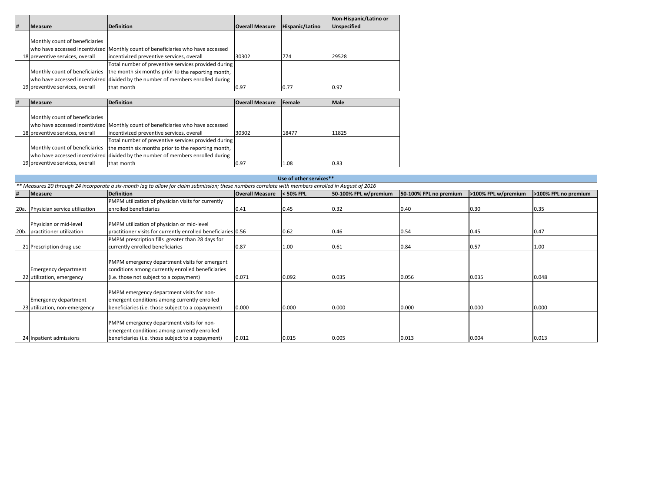|   |                                 |                                                                                   |                        |                 | Non-Hispanic/Latino or |
|---|---------------------------------|-----------------------------------------------------------------------------------|------------------------|-----------------|------------------------|
| # | <b>Measure</b>                  | <b>Definition</b>                                                                 | <b>Overall Measure</b> | Hispanic/Latino | <b>Unspecified</b>     |
|   |                                 |                                                                                   |                        |                 |                        |
|   | Monthly count of beneficiaries  |                                                                                   |                        |                 |                        |
|   |                                 | who have accessed incentivized Monthly count of beneficiaries who have accessed   |                        |                 |                        |
|   | 18 preventive services, overall | incentivized preventive services, overall                                         | 30302                  | 774             | 29528                  |
|   |                                 | Total number of preventive services provided during                               |                        |                 |                        |
|   |                                 | Monthly count of beneficiaries the month six months prior to the reporting month, |                        |                 |                        |
|   |                                 | who have accessed incentivized divided by the number of members enrolled during   |                        |                 |                        |
|   | 19 preventive services, overall | that month                                                                        | 0.97                   | 0.77            | 0.97                   |

| # | <b>Measure</b>                  | <b>Definition</b>                                                                 | <b>Overall Measure</b> | Female | <b>Male</b> |
|---|---------------------------------|-----------------------------------------------------------------------------------|------------------------|--------|-------------|
|   |                                 |                                                                                   |                        |        |             |
|   | Monthly count of beneficiaries  |                                                                                   |                        |        |             |
|   |                                 | who have accessed incentivized Monthly count of beneficiaries who have accessed   |                        |        |             |
|   | 18 preventive services, overall | incentivized preventive services, overall                                         | 30302                  | 18477  | 11825       |
|   |                                 | Total number of preventive services provided during                               |                        |        |             |
|   |                                 | Monthly count of beneficiaries the month six months prior to the reporting month, |                        |        |             |
|   |                                 | who have accessed incentivized divided by the number of members enrolled during   |                        |        |             |
|   | 19 preventive services, overall | that month                                                                        | 0.97                   | 1.08   | 0.83        |

|                 | Use of other services**                                                                                                                              |                                                               |                        |             |                       |                        |                     |                      |  |  |
|-----------------|------------------------------------------------------------------------------------------------------------------------------------------------------|---------------------------------------------------------------|------------------------|-------------|-----------------------|------------------------|---------------------|----------------------|--|--|
|                 | ** Measures 20 through 24 incorporate a six-month lag to allow for claim submission; these numbers correlate with members enrolled in August of 2016 |                                                               |                        |             |                       |                        |                     |                      |  |  |
| #               | Measure                                                                                                                                              | <b>Definition</b>                                             | <b>Overall Measure</b> | $<$ 50% FPL | 50-100% FPL w/premium | 50-100% FPL no premium | >100% FPL w/premium | >100% FPL no premium |  |  |
|                 |                                                                                                                                                      | PMPM utilization of physician visits for currently            |                        |             |                       |                        |                     |                      |  |  |
| 20a.            | Physician service utilization                                                                                                                        | enrolled beneficiaries                                        | 0.41                   | 0.45        | 0.32                  | 0.40                   | 0.30                | 0.35                 |  |  |
|                 |                                                                                                                                                      |                                                               |                        |             |                       |                        |                     |                      |  |  |
|                 | Physician or mid-level                                                                                                                               | PMPM utilization of physician or mid-level                    |                        |             |                       |                        |                     |                      |  |  |
| 20 <sub>b</sub> | practitioner utilization                                                                                                                             | practitioner visits for currently enrolled beneficiaries 0.56 |                        | 0.62        | 0.46                  | 0.54                   | 0.45                | 0.47                 |  |  |
|                 |                                                                                                                                                      | PMPM prescription fills greater than 28 days for              |                        |             |                       |                        |                     |                      |  |  |
|                 | 21 Prescription drug use                                                                                                                             | currently enrolled beneficiaries                              | 0.87                   | 1.00        | 0.61                  | 0.84                   | 0.57                | 1.00                 |  |  |
|                 |                                                                                                                                                      |                                                               |                        |             |                       |                        |                     |                      |  |  |
|                 |                                                                                                                                                      | PMPM emergency department visits for emergent                 |                        |             |                       |                        |                     |                      |  |  |
|                 | <b>Emergency department</b>                                                                                                                          | conditions among currently enrolled beneficiaries             |                        |             |                       |                        |                     |                      |  |  |
|                 | 22 utilization, emergency                                                                                                                            | (i.e. those not subject to a copayment)                       | 0.071                  | 0.092       | 0.035                 | 0.056                  | 0.035               | 0.048                |  |  |
|                 |                                                                                                                                                      |                                                               |                        |             |                       |                        |                     |                      |  |  |
|                 |                                                                                                                                                      | PMPM emergency department visits for non-                     |                        |             |                       |                        |                     |                      |  |  |
|                 | <b>Emergency department</b>                                                                                                                          | emergent conditions among currently enrolled                  |                        |             |                       |                        |                     |                      |  |  |
|                 | 23 utilization, non-emergency                                                                                                                        | beneficiaries (i.e. those subject to a copayment)             | 0.000                  | 0.000       | 0.000                 | 0.000                  | 0.000               | 0.000                |  |  |
|                 |                                                                                                                                                      |                                                               |                        |             |                       |                        |                     |                      |  |  |
|                 |                                                                                                                                                      | PMPM emergency department visits for non-                     |                        |             |                       |                        |                     |                      |  |  |
|                 |                                                                                                                                                      | emergent conditions among currently enrolled                  |                        |             |                       |                        |                     |                      |  |  |
|                 | 24 Inpatient admissions                                                                                                                              | beneficiaries (i.e. those subject to a copayment)             | 0.012                  | 0.015       | 0.005                 | 0.013                  | 0.004               | 0.013                |  |  |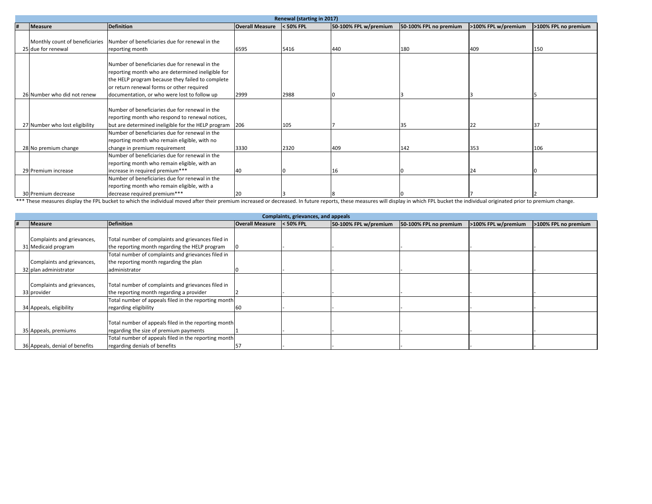|                                            | Renewal (starting in 2017)                                                                                                                                                                                                                           |                        |           |                       |                        |                     |                      |  |  |
|--------------------------------------------|------------------------------------------------------------------------------------------------------------------------------------------------------------------------------------------------------------------------------------------------------|------------------------|-----------|-----------------------|------------------------|---------------------|----------------------|--|--|
| Measure                                    | <b>Definition</b>                                                                                                                                                                                                                                    | <b>Overall Measure</b> | < 50% FPL | 50-100% FPL w/premium | 50-100% FPL no premium | >100% FPL w/premium | >100% FPL no premium |  |  |
| 25 due for renewal                         | Monthly count of beneficiaries Number of beneficiaries due for renewal in the<br>reporting month                                                                                                                                                     | 6595                   | 5416      | 440                   | 180                    | 409                 | 150                  |  |  |
| 26 Number who did not renew                | Number of beneficiaries due for renewal in the<br>reporting month who are determined ineligible for<br>the HELP program because they failed to complete<br>or return renewal forms or other required<br>documentation, or who were lost to follow up | 2999                   | 2988      |                       |                        |                     |                      |  |  |
|                                            | Number of beneficiaries due for renewal in the<br>reporting month who respond to renewal notices,                                                                                                                                                    |                        |           |                       |                        |                     |                      |  |  |
| 27 Number who lost eligibility             | but are determined ineligible for the HELP program 206<br>Number of beneficiaries due for renewal in the<br>reporting month who remain eligible, with no                                                                                             |                        | 105       |                       | 35                     | 22                  | 37                   |  |  |
| 28 No premium change                       | change in premium requirement<br>Number of beneficiaries due for renewal in the<br>reporting month who remain eligible, with an                                                                                                                      | 3330                   | 2320      | 409                   | 142                    | 353                 | 106                  |  |  |
| 29 Premium increase<br>30 Premium decrease | increase in required premium***<br>Number of beneficiaries due for renewal in the<br>reporting month who remain eligible, with a<br>decrease required premium***                                                                                     | 40<br>20               |           | 16                    |                        | 24                  |                      |  |  |

 $\frac{30}{\text{Premium}}\$  =  $\frac{12}{\text{P}^2}$  =  $\frac{12}{\text{P}^2}$  =  $\frac{12}{\text{P}^2}$  =  $\frac{12}{\text{P}^2}$  =  $\frac{12}{\text{P}^2}$  =  $\frac{12}{\text{P}^2}$  =  $\frac{12}{\text{P}^2}$  =  $\frac{12}{\text{P}^2}$  =  $\frac{12}{\text{P}^2}$  =  $\frac{12}{\text{P}^2}$  =  $\frac{12}{\text{P}$ 

|   |                                |                                                      |                        | Complaints, grievances, and appeals |                       |                        |                     |                      |
|---|--------------------------------|------------------------------------------------------|------------------------|-------------------------------------|-----------------------|------------------------|---------------------|----------------------|
| # | <b>Measure</b>                 | Definition                                           | <b>Overall Measure</b> | $<$ 50% FPL                         | 50-100% FPL w/premium | 50-100% FPL no premium | >100% FPL w/premium | >100% FPL no premium |
|   |                                |                                                      |                        |                                     |                       |                        |                     |                      |
|   | Complaints and grievances,     | Total number of complaints and grievances filed in   |                        |                                     |                       |                        |                     |                      |
|   | 31 Medicaid program            | the reporting month regarding the HELP program       |                        |                                     |                       |                        |                     |                      |
|   |                                | Total number of complaints and grievances filed in   |                        |                                     |                       |                        |                     |                      |
|   | Complaints and grievances,     | the reporting month regarding the plan               |                        |                                     |                       |                        |                     |                      |
|   | 32 plan administrator          | administrator                                        |                        |                                     |                       |                        |                     |                      |
|   |                                |                                                      |                        |                                     |                       |                        |                     |                      |
|   | Complaints and grievances,     | Total number of complaints and grievances filed in   |                        |                                     |                       |                        |                     |                      |
|   | 33 provider                    | the reporting month regarding a provider             |                        |                                     |                       |                        |                     |                      |
|   |                                | Total number of appeals filed in the reporting month |                        |                                     |                       |                        |                     |                      |
|   | 34 Appeals, eligibility        | regarding eligibility                                |                        |                                     |                       |                        |                     |                      |
|   |                                |                                                      |                        |                                     |                       |                        |                     |                      |
|   |                                | Total number of appeals filed in the reporting month |                        |                                     |                       |                        |                     |                      |
|   | 35 Appeals, premiums           | regarding the size of premium payments               |                        |                                     |                       |                        |                     |                      |
|   |                                | Total number of appeals filed in the reporting month |                        |                                     |                       |                        |                     |                      |
|   | 36 Appeals, denial of benefits | regarding denials of benefits                        |                        |                                     |                       |                        |                     |                      |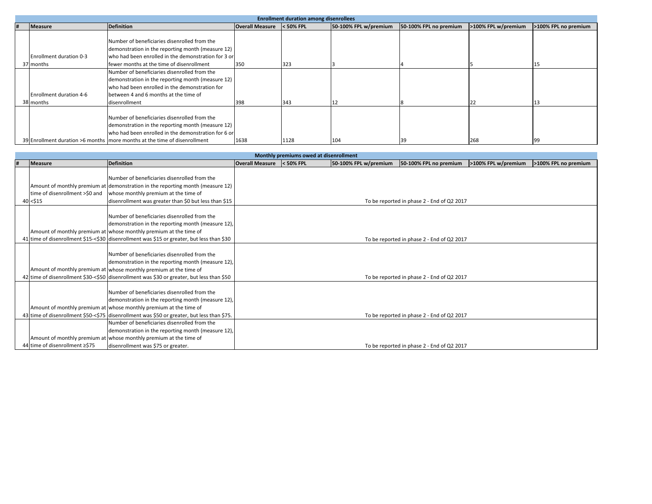|  |                         |                                                                             |                        | <b>Enrollment duration among disenrollees</b> |                       |                        |                     |                      |
|--|-------------------------|-----------------------------------------------------------------------------|------------------------|-----------------------------------------------|-----------------------|------------------------|---------------------|----------------------|
|  | <b>Measure</b>          | <b>Definition</b>                                                           | <b>Overall Measure</b> | < 50% FPL                                     | 50-100% FPL w/premium | 50-100% FPL no premium | >100% FPL w/premium | >100% FPL no premium |
|  |                         |                                                                             |                        |                                               |                       |                        |                     |                      |
|  |                         | Number of beneficiaries disenrolled from the                                |                        |                                               |                       |                        |                     |                      |
|  |                         | demonstration in the reporting month (measure 12)                           |                        |                                               |                       |                        |                     |                      |
|  | Enrollment duration 0-3 | who had been enrolled in the demonstration for 3 or                         |                        |                                               |                       |                        |                     |                      |
|  | 37 months               | fewer months at the time of disenrollment                                   | 350                    | 323                                           |                       |                        |                     |                      |
|  |                         | Number of beneficiaries disenrolled from the                                |                        |                                               |                       |                        |                     |                      |
|  |                         | demonstration in the reporting month (measure 12)                           |                        |                                               |                       |                        |                     |                      |
|  |                         | who had been enrolled in the demonstration for                              |                        |                                               |                       |                        |                     |                      |
|  | Enrollment duration 4-6 | between 4 and 6 months at the time of                                       |                        |                                               |                       |                        |                     |                      |
|  | 38 months               | disenrollment                                                               | 398                    | 343                                           |                       |                        |                     |                      |
|  |                         |                                                                             |                        |                                               |                       |                        |                     |                      |
|  |                         | Number of beneficiaries disenrolled from the                                |                        |                                               |                       |                        |                     |                      |
|  |                         | demonstration in the reporting month (measure 12)                           |                        |                                               |                       |                        |                     |                      |
|  |                         | who had been enrolled in the demonstration for 6 or                         |                        |                                               |                       |                        |                     |                      |
|  |                         | 39 Enrollment duration >6 months   more months at the time of disenrollment | 1638                   | 1128                                          | 104                   | 39                     | 268                 |                      |

|                                |                                                                                            |                        | Monthly premiums owed at disenrollment |                       |                                            |                     |                      |
|--------------------------------|--------------------------------------------------------------------------------------------|------------------------|----------------------------------------|-----------------------|--------------------------------------------|---------------------|----------------------|
| <b>Measure</b>                 | <b>Definition</b>                                                                          | <b>Overall Measure</b> | $<$ 50% FPL                            | 50-100% FPL w/premium | 50-100% FPL no premium                     | >100% FPL w/premium | >100% FPL no premium |
|                                |                                                                                            |                        |                                        |                       |                                            |                     |                      |
|                                | Number of beneficiaries disenrolled from the                                               |                        |                                        |                       |                                            |                     |                      |
|                                | Amount of monthly premium at demonstration in the reporting month (measure 12)             |                        |                                        |                       |                                            |                     |                      |
| time of disenrollment >\$0 and | whose monthly premium at the time of                                                       |                        |                                        |                       |                                            |                     |                      |
| 40 < \$15                      | disenrollment was greater than \$0 but less than \$15                                      |                        |                                        |                       | To be reported in phase 2 - End of Q2 2017 |                     |                      |
|                                |                                                                                            |                        |                                        |                       |                                            |                     |                      |
|                                | Number of beneficiaries disenrolled from the                                               |                        |                                        |                       |                                            |                     |                      |
|                                | demonstration in the reporting month (measure 12),                                         |                        |                                        |                       |                                            |                     |                      |
|                                | Amount of monthly premium at whose monthly premium at the time of                          |                        |                                        |                       |                                            |                     |                      |
|                                | 41 time of disenrollment \$15-<\$30 disenrollment was \$15 or greater, but less than \$30  |                        |                                        |                       | To be reported in phase 2 - End of Q2 2017 |                     |                      |
|                                |                                                                                            |                        |                                        |                       |                                            |                     |                      |
|                                | Number of beneficiaries disenrolled from the                                               |                        |                                        |                       |                                            |                     |                      |
|                                | demonstration in the reporting month (measure 12),                                         |                        |                                        |                       |                                            |                     |                      |
|                                | Amount of monthly premium at whose monthly premium at the time of                          |                        |                                        |                       |                                            |                     |                      |
|                                | 42 time of disenrollment \$30-<\$50 disenrollment was \$30 or greater, but less than \$50  |                        |                                        |                       | To be reported in phase 2 - End of Q2 2017 |                     |                      |
|                                |                                                                                            |                        |                                        |                       |                                            |                     |                      |
|                                | Number of beneficiaries disenrolled from the                                               |                        |                                        |                       |                                            |                     |                      |
|                                | demonstration in the reporting month (measure 12),                                         |                        |                                        |                       |                                            |                     |                      |
|                                | Amount of monthly premium at whose monthly premium at the time of                          |                        |                                        |                       |                                            |                     |                      |
|                                | 43 time of disenrollment \$50-<\$75 disenrollment was \$50 or greater, but less than \$75. |                        |                                        |                       | To be reported in phase 2 - End of Q2 2017 |                     |                      |
|                                | Number of beneficiaries disenrolled from the                                               |                        |                                        |                       |                                            |                     |                      |
|                                | demonstration in the reporting month (measure 12),                                         |                        |                                        |                       |                                            |                     |                      |
|                                | Amount of monthly premium at whose monthly premium at the time of                          |                        |                                        |                       |                                            |                     |                      |
| 44 time of disenrollment ≥\$75 | disenrollment was \$75 or greater.                                                         |                        |                                        |                       | To be reported in phase 2 - End of Q2 2017 |                     |                      |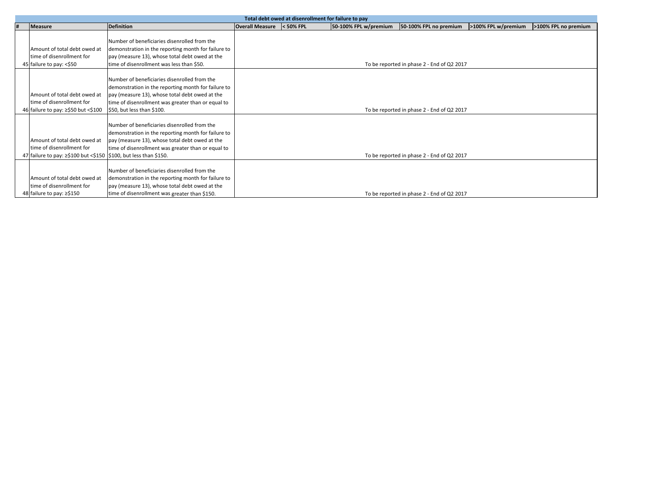|   |                                                                  |                                                     |                           | Total debt owed at disenrollment for failure to pay |                                            |                     |                      |
|---|------------------------------------------------------------------|-----------------------------------------------------|---------------------------|-----------------------------------------------------|--------------------------------------------|---------------------|----------------------|
| # | <b>Measure</b>                                                   | <b>Definition</b>                                   | Overall Measure < 50% FPL | 50-100% FPL w/premium                               | 50-100% FPL no premium                     | >100% FPL w/premium | >100% FPL no premium |
|   |                                                                  |                                                     |                           |                                                     |                                            |                     |                      |
|   |                                                                  | Number of beneficiaries disenrolled from the        |                           |                                                     |                                            |                     |                      |
|   | Amount of total debt owed at                                     | demonstration in the reporting month for failure to |                           |                                                     |                                            |                     |                      |
|   | time of disenrollment for                                        | pay (measure 13), whose total debt owed at the      |                           |                                                     |                                            |                     |                      |
|   | 45 failure to pay: <\$50                                         | time of disenrollment was less than \$50.           |                           |                                                     | To be reported in phase 2 - End of Q2 2017 |                     |                      |
|   |                                                                  |                                                     |                           |                                                     |                                            |                     |                      |
|   |                                                                  | Number of beneficiaries disenrolled from the        |                           |                                                     |                                            |                     |                      |
|   |                                                                  | demonstration in the reporting month for failure to |                           |                                                     |                                            |                     |                      |
|   | Amount of total debt owed at                                     | pay (measure 13), whose total debt owed at the      |                           |                                                     |                                            |                     |                      |
|   | time of disenrollment for                                        | time of disenrollment was greater than or equal to  |                           |                                                     |                                            |                     |                      |
|   | 46 failure to pay: ≥\$50 but <\$100                              | \$50, but less than \$100.                          |                           |                                                     | To be reported in phase 2 - End of Q2 2017 |                     |                      |
|   |                                                                  |                                                     |                           |                                                     |                                            |                     |                      |
|   |                                                                  | Number of beneficiaries disenrolled from the        |                           |                                                     |                                            |                     |                      |
|   |                                                                  | demonstration in the reporting month for failure to |                           |                                                     |                                            |                     |                      |
|   | Amount of total debt owed at                                     | pay (measure 13), whose total debt owed at the      |                           |                                                     |                                            |                     |                      |
|   | time of disenrollment for                                        | time of disenrollment was greater than or equal to  |                           |                                                     |                                            |                     |                      |
|   | 47 failure to pay: 2\$100 but <\$150 \$100, but less than \$150. |                                                     |                           |                                                     | To be reported in phase 2 - End of Q2 2017 |                     |                      |
|   |                                                                  |                                                     |                           |                                                     |                                            |                     |                      |
|   |                                                                  | Number of beneficiaries disenrolled from the        |                           |                                                     |                                            |                     |                      |
|   | Amount of total debt owed at                                     | demonstration in the reporting month for failure to |                           |                                                     |                                            |                     |                      |
|   | time of disenrollment for                                        |                                                     |                           |                                                     |                                            |                     |                      |
|   |                                                                  | pay (measure 13), whose total debt owed at the      |                           |                                                     |                                            |                     |                      |
|   | 48 failure to pay: ≥\$150                                        | time of disenrollment was greater than \$150.       |                           |                                                     | To be reported in phase 2 - End of Q2 2017 |                     |                      |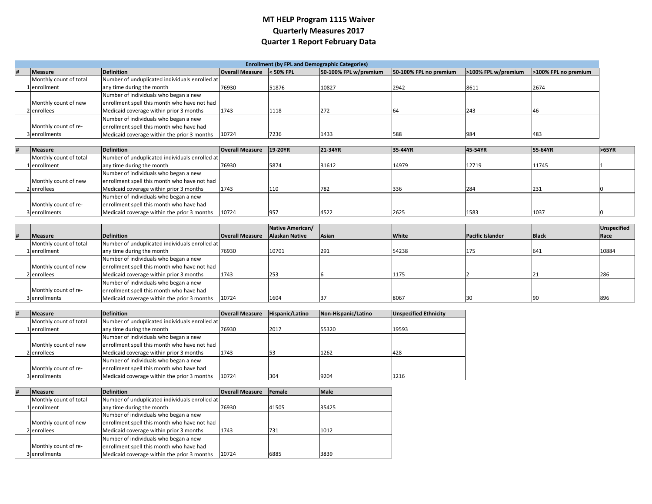# **MT HELP Program 1115 Waiver Quarterly Measures 2017 Quarter 1 Report February Data**

|                        |                                                |                        |             | <b>Enrollment (by FPL and Demographic Categories)</b> |                        |                     |                      |
|------------------------|------------------------------------------------|------------------------|-------------|-------------------------------------------------------|------------------------|---------------------|----------------------|
| <b>Measure</b>         | <b>Definition</b>                              | <b>Overall Measure</b> | $<$ 50% FPL | 50-100% FPL w/premium                                 | 50-100% FPL no premium | >100% FPL w/premium | >100% FPL no premium |
| Monthly count of total | Number of unduplicated individuals enrolled at |                        |             |                                                       |                        |                     |                      |
| 1 lenrollment          | any time during the month                      | 76930                  | 51876       | 10827                                                 | 2942                   | 8611                | 2674                 |
|                        | Number of individuals who began a new          |                        |             |                                                       |                        |                     |                      |
| Monthly count of new   | enrollment spell this month who have not had   |                        |             |                                                       |                        |                     |                      |
| 2 enrollees            | Medicaid coverage within prior 3 months        | 1743                   | 1118        | 272                                                   | <sup>t</sup> b4        | 243                 |                      |
|                        | Number of individuals who began a new          |                        |             |                                                       |                        |                     |                      |
| Monthly count of re-   | enrollment spell this month who have had       |                        |             |                                                       |                        |                     |                      |
| 3 enrollments          | Medicaid coverage within the prior 3 months    | 10724                  | 7236        | 1433                                                  | 588                    | 1984                | 483                  |

| <b>Measure</b>         | <b>Definition</b>                              | <b>Overall Measure</b> | $19-20YR$ | 21-34YR | 35-44YR | 45-54YR | 55-64YR | >65YR |
|------------------------|------------------------------------------------|------------------------|-----------|---------|---------|---------|---------|-------|
| Monthly count of total | Number of unduplicated individuals enrolled at |                        |           |         |         |         |         |       |
| 1 lenrollment          | any time during the month                      | 76930                  | 5874      | 31612   | 14979   | 12719   | 11745   |       |
|                        | Number of individuals who began a new          |                        |           |         |         |         |         |       |
| Monthly count of new   | enrollment spell this month who have not had   |                        |           |         |         |         |         |       |
| 2 enrollees            | Medicaid coverage within prior 3 months        | 1743                   | 110       | 782     | 336     | 284     | 231     |       |
|                        | Number of individuals who began a new          |                        |           |         |         |         |         |       |
| Monthly count of re-   | enrollment spell this month who have had       |                        |           |         |         |         |         |       |
| 3 enrollments          | Medicaid coverage within the prior 3 months    | 10724                  | 957       | 4522    | 2625    | 1583    | 1037    |       |

|                        |                                                |                        | Native American/      |              |              |                         |              | Unspecified |
|------------------------|------------------------------------------------|------------------------|-----------------------|--------------|--------------|-------------------------|--------------|-------------|
| <b>Measure</b>         | Definition                                     | <b>Overall Measure</b> | <b>Alaskan Native</b> | <b>Asian</b> | <b>White</b> | <b>Pacific Islander</b> | <b>Black</b> | Race        |
| Monthly count of total | Number of unduplicated individuals enrolled at |                        |                       |              |              |                         |              |             |
| Lenrollment            | any time during the month                      | 76930                  | 10701                 | 291          | 54238        | 175                     | 641          | 10884       |
|                        | Number of individuals who began a new          |                        |                       |              |              |                         |              |             |
| Monthly count of new   | enrollment spell this month who have not had   |                        |                       |              |              |                         |              |             |
| 2 enrollees            | Medicaid coverage within prior 3 months        | 1743                   | 253                   |              | 1175         |                         |              | 280         |
|                        | Number of individuals who began a new          |                        |                       |              |              |                         |              |             |
| Monthly count of re-   | enrollment spell this month who have had       |                        |                       |              |              |                         |              |             |
| 3 enrollments          | Medicaid coverage within the prior 3 months    | 10724                  | 1604                  |              | 8067         | 30                      |              | 89          |

| <b>Measure</b>         | <b>Definition</b>                              | <b>Overall Measure</b> | Hispanic/Latino | Non-Hispanic/Latino | <b>Unspecified Ethnicity</b> |
|------------------------|------------------------------------------------|------------------------|-----------------|---------------------|------------------------------|
| Monthly count of total | Number of unduplicated individuals enrolled at |                        |                 |                     |                              |
| 1 lenrollment          | any time during the month                      | 76930                  | 2017            | 55320               | 19593                        |
|                        | Number of individuals who began a new          |                        |                 |                     |                              |
| Monthly count of new   | enrollment spell this month who have not had   |                        |                 |                     |                              |
| 2 lenrollees           | Medicaid coverage within prior 3 months        | 1743                   |                 | 1262                | 428                          |
|                        | Number of individuals who began a new          |                        |                 |                     |                              |
| Monthly count of re-   | enrollment spell this month who have had       |                        |                 |                     |                              |
| 3 enrollments          | Medicaid coverage within the prior 3 months    | 10724                  | 304             | 9204                | 1216                         |

| # | <b>Measure</b>         | <b>Definition</b>                              | <b>Overall Measure</b> | <b>IFemale</b> | <b>Male</b> |
|---|------------------------|------------------------------------------------|------------------------|----------------|-------------|
|   | Monthly count of total | Number of unduplicated individuals enrolled at |                        |                |             |
|   | 1 enrollment           | any time during the month                      | 76930                  | 41505          | 35425       |
|   |                        | Number of individuals who began a new          |                        |                |             |
|   | Monthly count of new   | enrollment spell this month who have not had   |                        |                |             |
|   | 2 enrollees            | Medicaid coverage within prior 3 months        | 1743                   | 731            | 1012        |
|   |                        | Number of individuals who began a new          |                        |                |             |
|   | Monthly count of re-   | enrollment spell this month who have had       |                        |                |             |
|   | 3 enrollments          | Medicaid coverage within the prior 3 months    | 10724                  | 6885           | 3839        |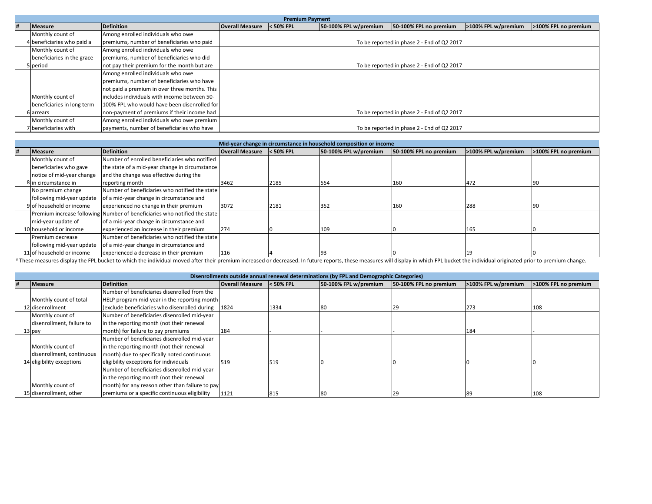|   |                            |                                               |                        | <b>Premium Payment</b> |                       |                                            |                     |                      |
|---|----------------------------|-----------------------------------------------|------------------------|------------------------|-----------------------|--------------------------------------------|---------------------|----------------------|
| # | Measure                    | <b>Definition</b>                             | <b>Overall Measure</b> | $<$ 50% FPL            | 50-100% FPL w/premium | 50-100% FPL no premium                     | >100% FPL w/premium | >100% FPL no premium |
|   | Monthly count of           | Among enrolled individuals who owe            |                        |                        |                       |                                            |                     |                      |
|   | 4 beneficiaries who paid a | premiums, number of beneficiaries who paid    |                        |                        |                       | To be reported in phase 2 - End of Q2 2017 |                     |                      |
|   | Monthly count of           | Among enrolled individuals who owe            |                        |                        |                       |                                            |                     |                      |
|   | beneficiaries in the grace | premiums, number of beneficiaries who did     |                        |                        |                       |                                            |                     |                      |
|   | 5 period                   | not pay their premium for the month but are   |                        |                        |                       | To be reported in phase 2 - End of Q2 2017 |                     |                      |
|   |                            | Among enrolled individuals who owe            |                        |                        |                       |                                            |                     |                      |
|   |                            | premiums, number of beneficiaries who have    |                        |                        |                       |                                            |                     |                      |
|   |                            | not paid a premium in over three months. This |                        |                        |                       |                                            |                     |                      |
|   | Monthly count of           | lincludes individuals with income between 50- |                        |                        |                       |                                            |                     |                      |
|   | beneficiaries in long term | 100% FPL who would have been disenrolled for  |                        |                        |                       |                                            |                     |                      |
|   | 6 arrears                  | non-payment of premiums if their income had   |                        |                        |                       | To be reported in phase 2 - End of Q2 2017 |                     |                      |
|   | Monthly count of           | Among enrolled individuals who owe premium    |                        |                        |                       |                                            |                     |                      |
|   | 7 beneficiaries with       | payments, number of beneficiaries who have    |                        |                        |                       | To be reported in phase 2 - End of Q2 2017 |                     |                      |

|                           |                                                                           |                        |             | Mid-year change in circumstance in household composition or income |                        |                     |                      |
|---------------------------|---------------------------------------------------------------------------|------------------------|-------------|--------------------------------------------------------------------|------------------------|---------------------|----------------------|
| <b>Measure</b>            | <b>Definition</b>                                                         | <b>Overall Measure</b> | $<$ 50% FPL | 50-100% FPL w/premium                                              | 50-100% FPL no premium | >100% FPL w/premium | >100% FPL no premium |
| Monthly count of          | Number of enrolled beneficiaries who notified                             |                        |             |                                                                    |                        |                     |                      |
| beneficiaries who gave    | the state of a mid-year change in circumstance                            |                        |             |                                                                    |                        |                     |                      |
| notice of mid-year change | and the change was effective during the                                   |                        |             |                                                                    |                        |                     |                      |
| 8 in circumstance in      | reporting month                                                           | 3462                   | 2185        | 554                                                                | 160                    | 472                 | 90                   |
| No premium change         | Number of beneficiaries who notified the state                            |                        |             |                                                                    |                        |                     |                      |
| following mid-year update | of a mid-year change in circumstance and                                  |                        |             |                                                                    |                        |                     |                      |
| 9 of household or income  | experienced no change in their premium                                    | 3072                   | 2181        | 352                                                                | 160                    | 288                 | '90                  |
|                           | Premium increase following Number of beneficiaries who notified the state |                        |             |                                                                    |                        |                     |                      |
| mid-year update of        | of a mid-year change in circumstance and                                  |                        |             |                                                                    |                        |                     |                      |
| 10 household or income    | experienced an increase in their premium                                  | 274                    |             | 109                                                                |                        | 165                 |                      |
| Premium decrease          | Number of beneficiaries who notified the state                            |                        |             |                                                                    |                        |                     |                      |
| following mid-year update | of a mid-year change in circumstance and                                  |                        |             |                                                                    |                        |                     |                      |
| 11 of household or income | experienced a decrease in their premium                                   | 116                    |             |                                                                    |                        |                     |                      |

These measures display the FPL bucket to which the individual moved after their premium increased or decreased. In future reports, these measures will display in which FPL bucket the individual originated prior to premium

|   |                           |                                                     |                        |             | Disenrollments outside annual renewal determinations (by FPL and Demographic Categories) |                        |                     |                      |
|---|---------------------------|-----------------------------------------------------|------------------------|-------------|------------------------------------------------------------------------------------------|------------------------|---------------------|----------------------|
| # | Measure                   | Definition                                          | <b>Overall Measure</b> | $<$ 50% FPL | 50-100% FPL w/premium                                                                    | 50-100% FPL no premium | >100% FPL w/premium | >100% FPL no premium |
|   |                           | Number of beneficiaries disenrolled from the        |                        |             |                                                                                          |                        |                     |                      |
|   | Monthly count of total    | HELP program mid-year in the reporting month        |                        |             |                                                                                          |                        |                     |                      |
|   | 12 disenrollment          | (exclude beneficiaries who disenrolled during 1824) |                        | 1334        |                                                                                          | 29                     | 273                 | 108                  |
|   | Monthly count of          | Number of beneficiaries disenrolled mid-year        |                        |             |                                                                                          |                        |                     |                      |
|   | disenrollment, failure to | in the reporting month (not their renewal           |                        |             |                                                                                          |                        |                     |                      |
|   | 13 pay                    | month) for failure to pay premiums                  | 184                    |             |                                                                                          |                        | 184                 |                      |
|   |                           | Number of beneficiaries disenrolled mid-year        |                        |             |                                                                                          |                        |                     |                      |
|   | Monthly count of          | in the reporting month (not their renewal           |                        |             |                                                                                          |                        |                     |                      |
|   | disenrollment, continuous | month) due to specifically noted continuous         |                        |             |                                                                                          |                        |                     |                      |
|   | 14 eligibility exceptions | eligibility exceptions for individuals              | 519                    | 519         |                                                                                          |                        |                     |                      |
|   |                           | Number of beneficiaries disenrolled mid-year        |                        |             |                                                                                          |                        |                     |                      |
|   |                           | in the reporting month (not their renewal           |                        |             |                                                                                          |                        |                     |                      |
|   | Monthly count of          | month) for any reason other than failure to pay     |                        |             |                                                                                          |                        |                     |                      |
|   | 15 disenrollment, other   | premiums or a specific continuous eligibility       | 1121                   | 815         |                                                                                          |                        |                     | 108                  |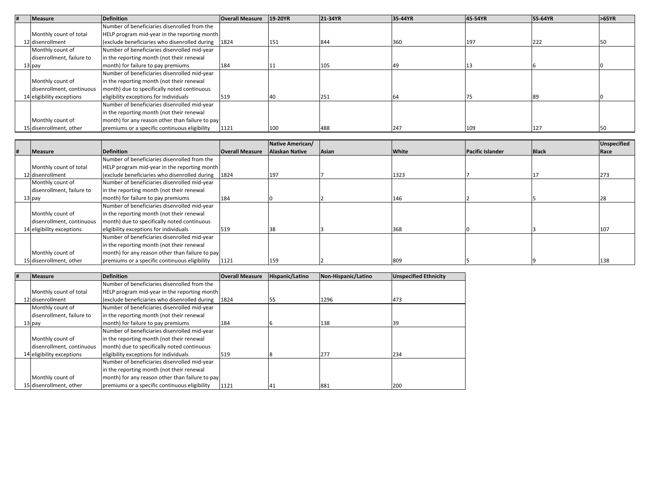| Measure                   | <b>Definition</b>                               | <b>Overall Measure</b> | 19-20YR   | 21-34YR | 35-44YR | 45-54YR | 55-64YR | >65YR |
|---------------------------|-------------------------------------------------|------------------------|-----------|---------|---------|---------|---------|-------|
|                           | Number of beneficiaries disenrolled from the    |                        |           |         |         |         |         |       |
| Monthly count of total    | HELP program mid-year in the reporting month    |                        |           |         |         |         |         |       |
| 12 disenrollment          | (exclude beneficiaries who disenrolled during   | 1824                   | 151       | 844     | 360     | 197     | 222     |       |
| Monthly count of          | Number of beneficiaries disenrolled mid-year    |                        |           |         |         |         |         |       |
| disenrollment, failure to | in the reporting month (not their renewal       |                        |           |         |         |         |         |       |
| 13 pay                    | month) for failure to pay premiums              | 184                    |           | 105     | 49      |         |         |       |
|                           | Number of beneficiaries disenrolled mid-year    |                        |           |         |         |         |         |       |
| Monthly count of          | in the reporting month (not their renewal       |                        |           |         |         |         |         |       |
| disenrollment, continuous | month) due to specifically noted continuous     |                        |           |         |         |         |         |       |
| 14 eligibility exceptions | eligibility exceptions for individuals          | 519                    | <b>40</b> |         |         |         |         |       |
|                           | Number of beneficiaries disenrolled mid-year    |                        |           |         |         |         |         |       |
|                           | in the reporting month (not their renewal       |                        |           |         |         |         |         |       |
| Monthly count of          | month) for any reason other than failure to pay |                        |           |         |         |         |         |       |
| 15 disenrollment, other   | premiums or a specific continuous eligibility   | 1121                   | 100       | 488     | 247     | 109     | 127     |       |

|                           |                                                 |                        | Native American/ |       |       |                         |              | Unspecified |
|---------------------------|-------------------------------------------------|------------------------|------------------|-------|-------|-------------------------|--------------|-------------|
| Measure                   | Definition                                      | <b>Overall Measure</b> | Alaskan Native   | Asian | White | <b>Pacific Islander</b> | <b>Black</b> | Race        |
|                           | Number of beneficiaries disenrolled from the    |                        |                  |       |       |                         |              |             |
| Monthly count of total    | HELP program mid-year in the reporting month    |                        |                  |       |       |                         |              |             |
| 12 disenrollment          | (exclude beneficiaries who disenrolled during   | 1824                   | 197              |       | 1323  |                         |              | 273         |
| Monthly count of          | Number of beneficiaries disenrolled mid-year    |                        |                  |       |       |                         |              |             |
| disenrollment, failure to | in the reporting month (not their renewal       |                        |                  |       |       |                         |              |             |
| 13 pay                    | month) for failure to pay premiums              | 184                    |                  |       | 146   |                         |              |             |
|                           | Number of beneficiaries disenrolled mid-year    |                        |                  |       |       |                         |              |             |
| Monthly count of          | in the reporting month (not their renewal       |                        |                  |       |       |                         |              |             |
| disenrollment, continuous | month) due to specifically noted continuous     |                        |                  |       |       |                         |              |             |
| 14 eligibility exceptions | eligibility exceptions for individuals          | 519                    | 38               |       | 368   |                         |              | 107         |
|                           | Number of beneficiaries disenrolled mid-year    |                        |                  |       |       |                         |              |             |
|                           | in the reporting month (not their renewal       |                        |                  |       |       |                         |              |             |
| Monthly count of          | month) for any reason other than failure to pay |                        |                  |       |       |                         |              |             |
| 15 disenrollment, other   | premiums or a specific continuous eligibility   | 1121                   | 159              |       | 809   |                         |              | 138         |

| Measure                   | Definition                                          | <b>Overall Measure</b> | Hispanic/Latino | Non-Hispanic/Latino | <b>Unspecified Ethnicity</b> |
|---------------------------|-----------------------------------------------------|------------------------|-----------------|---------------------|------------------------------|
|                           | Number of beneficiaries disenrolled from the        |                        |                 |                     |                              |
| Monthly count of total    | HELP program mid-year in the reporting month        |                        |                 |                     |                              |
| 12 disenrollment          | (exclude beneficiaries who disenrolled during 1824) |                        |                 | 1296                | 473                          |
| Monthly count of          | Number of beneficiaries disenrolled mid-year        |                        |                 |                     |                              |
| disenrollment, failure to | in the reporting month (not their renewal           |                        |                 |                     |                              |
| 13 pay                    | month) for failure to pay premiums                  | 184                    |                 | 138                 | 39                           |
|                           | Number of beneficiaries disenrolled mid-year        |                        |                 |                     |                              |
| Monthly count of          | in the reporting month (not their renewal           |                        |                 |                     |                              |
| disenrollment, continuous | month) due to specifically noted continuous         |                        |                 |                     |                              |
| 14 eligibility exceptions | eligibility exceptions for individuals              | 519                    |                 | 277                 | 234                          |
|                           | Number of beneficiaries disenrolled mid-year        |                        |                 |                     |                              |
|                           | in the reporting month (not their renewal           |                        |                 |                     |                              |
| Monthly count of          | month) for any reason other than failure to pay     |                        |                 |                     |                              |
| 15 disenrollment, other   | premiums or a specific continuous eligibility       | 1121                   | 41              | 881                 | 200                          |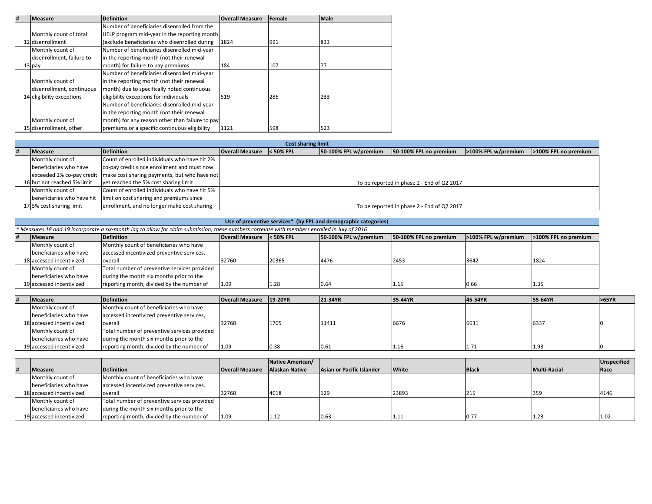| # | <b>Measure</b>            | <b>Definition</b>                               | <b>Overall Measure</b> | Female | <b>Male</b> |
|---|---------------------------|-------------------------------------------------|------------------------|--------|-------------|
|   |                           | Number of beneficiaries disenrolled from the    |                        |        |             |
|   | Monthly count of total    | HELP program mid-year in the reporting month    |                        |        |             |
|   | 12 disenrollment          | (exclude beneficiaries who disenrolled during   | 1824                   | 991    | 833         |
|   | Monthly count of          | Number of beneficiaries disenrolled mid-year    |                        |        |             |
|   | disenrollment, failure to | in the reporting month (not their renewal       |                        |        |             |
|   | 13 pay                    | month) for failure to pay premiums              | 184                    | 107    | 77          |
|   |                           | Number of beneficiaries disenrolled mid-year    |                        |        |             |
|   | Monthly count of          | in the reporting month (not their renewal       |                        |        |             |
|   | disenrollment, continuous | month) due to specifically noted continuous     |                        |        |             |
|   | 14 eligibility exceptions | eligibility exceptions for individuals          | 519                    | 286    | 233         |
|   |                           | Number of beneficiaries disenrolled mid-year    |                        |        |             |
|   |                           | in the reporting month (not their renewal       |                        |        |             |
|   | Monthly count of          | month) for any reason other than failure to pay |                        |        |             |
|   | 15 disenrollment, other   | premiums or a specific continuous eligibility   | 1121                   | 598    | 523         |

|                             |                                                                          |                        | <b>Cost sharing limit</b> |                       |                                            |                     |                      |
|-----------------------------|--------------------------------------------------------------------------|------------------------|---------------------------|-----------------------|--------------------------------------------|---------------------|----------------------|
| Measure                     | Definition                                                               | <b>Overall Measure</b> | $<$ 50% FPL               | 50-100% FPL w/premium | 50-100% FPL no premium                     | >100% FPL w/premium | >100% FPL no premium |
| Monthly count of            | Count of enrolled individuals who have hit 2%                            |                        |                           |                       |                                            |                     |                      |
| beneficiaries who have      | co-pay credit since enrollment and must now                              |                        |                           |                       |                                            |                     |                      |
|                             | exceeded 2% co-pay credit   make cost sharing payments, but who have not |                        |                           |                       |                                            |                     |                      |
| 16 but not reached 5% limit | yet reached the 5% cost sharing limit                                    |                        |                           |                       | To be reported in phase 2 - End of Q2 2017 |                     |                      |
| Monthly count of            | Count of enrolled individuals who have hit 5%                            |                        |                           |                       |                                            |                     |                      |
| beneficiaries who have hit  | limit on cost sharing and premiums since                                 |                        |                           |                       |                                            |                     |                      |
| 17 5% cost sharing limit    | enrollment, and no longer make cost sharing                              |                        |                           |                       | To be reported in phase 2 - End of Q2 2017 |                     |                      |

| Use of preventive services* (by FPL and demographic categories)                                                                               |                                              |                                  |       |                       |                        |                     |                      |  |  |  |
|-----------------------------------------------------------------------------------------------------------------------------------------------|----------------------------------------------|----------------------------------|-------|-----------------------|------------------------|---------------------|----------------------|--|--|--|
| * Measures 18 and 19 incorporate a six-month lag to allow for claim submission; these numbers correlate with members enrolled in July of 2016 |                                              |                                  |       |                       |                        |                     |                      |  |  |  |
| Measure                                                                                                                                       | <b>Definition</b>                            | <b>Overall Measure</b> < 50% FPL |       | 50-100% FPL w/premium | 50-100% FPL no premium | >100% FPL w/premium | >100% FPL no premium |  |  |  |
| Monthly count of                                                                                                                              | Monthly count of beneficiaries who have      |                                  |       |                       |                        |                     |                      |  |  |  |
| beneficiaries who have                                                                                                                        | accessed incentivized preventive services,   |                                  |       |                       |                        |                     |                      |  |  |  |
| 18 accessed incentivized                                                                                                                      | overall                                      | 32760                            | 20365 | 4476                  | 2453                   | 3642                | 1824                 |  |  |  |
| Monthly count of                                                                                                                              | Total number of preventive services provided |                                  |       |                       |                        |                     |                      |  |  |  |
| beneficiaries who have                                                                                                                        | during the month six months prior to the     |                                  |       |                       |                        |                     |                      |  |  |  |
| 19 accessed incentivized                                                                                                                      | reporting month, divided by the number of    | 1.09                             | 1.28  | 0.64                  | 1.15                   | 0.66                | 1.35                 |  |  |  |

| <b>Measure</b>           | <b>Definition</b>                            | <b>Overall Measure</b> | 19-20YR | 21-34YR | 35-44YR | 45-54YR | 55-64YR | >65YR |
|--------------------------|----------------------------------------------|------------------------|---------|---------|---------|---------|---------|-------|
| Monthly count of         | Monthly count of beneficiaries who have      |                        |         |         |         |         |         |       |
| beneficiaries who have   | accessed incentivized preventive services,   |                        |         |         |         |         |         |       |
| 18 accessed incentivized | overall                                      | 32760                  | 1705    | 11411   | 6676    | 6631    | 6337    |       |
| Monthly count of         | Total number of preventive services provided |                        |         |         |         |         |         |       |
| beneficiaries who have   | during the month six months prior to the     |                        |         |         |         |         |         |       |
| 19 accessed incentivized | reporting month, divided by the number of    | 1.09                   | 0.38    | 0.61    | 1.16    | 1.71    | 1.93    |       |

|                          |                                              |                        | Native American/ |                           |              |              |              | Unspecified |
|--------------------------|----------------------------------------------|------------------------|------------------|---------------------------|--------------|--------------|--------------|-------------|
| <b>Measure</b>           | Definition                                   | <b>Overall Measure</b> | Alaskan Native   | Asian or Pacific Islander | <b>White</b> | <b>Black</b> | Multi-Racial | Race        |
| Monthly count of         | Monthly count of beneficiaries who have      |                        |                  |                           |              |              |              |             |
| beneficiaries who have   | accessed incentivized preventive services,   |                        |                  |                           |              |              |              |             |
| 18 accessed incentivized | overall                                      | 32760                  | 4018             | 129                       | 23893        | 215          | 359          | 4146        |
| Monthly count of         | Total number of preventive services provided |                        |                  |                           |              |              |              |             |
| beneficiaries who have   | during the month six months prior to the     |                        |                  |                           |              |              |              |             |
| 19 accessed incentivized | reporting month, divided by the number of    | 1.09                   | 1.12             | 0.63                      | 1.11         | 0.77         | 1.23         | 1.02        |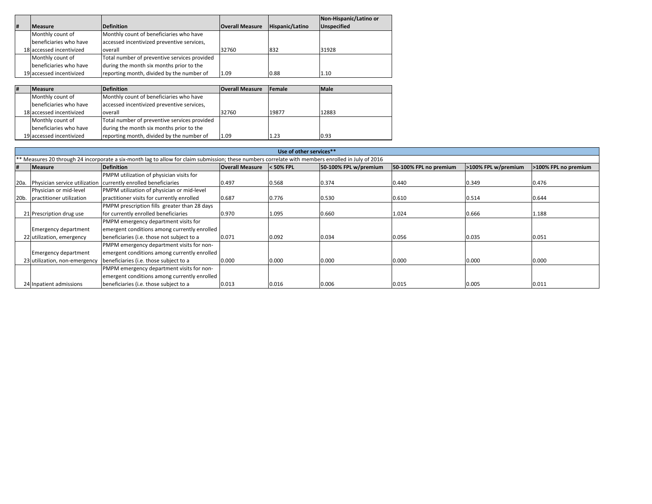|   |                          |                                              |                        |                 | Non-Hispanic/Latino or |
|---|--------------------------|----------------------------------------------|------------------------|-----------------|------------------------|
| # | <b>Measure</b>           | <b>Definition</b>                            | <b>Overall Measure</b> | Hispanic/Latino | <b>Unspecified</b>     |
|   | Monthly count of         | Monthly count of beneficiaries who have      |                        |                 |                        |
|   | beneficiaries who have   | accessed incentivized preventive services,   |                        |                 |                        |
|   | 18 accessed incentivized | overall                                      | 32760                  | 832             | 31928                  |
|   | Monthly count of         | Total number of preventive services provided |                        |                 |                        |
|   | beneficiaries who have   | during the month six months prior to the     |                        |                 |                        |
|   | 19 accessed incentivized | reporting month, divided by the number of    | 1.09                   | 0.88            | 1.10                   |

| # | <b>Measure</b>           | <b>Definition</b>                            | <b>Overall Measure</b> | <b>Female</b> | <b>Male</b> |
|---|--------------------------|----------------------------------------------|------------------------|---------------|-------------|
|   | Monthly count of         | Monthly count of beneficiaries who have      |                        |               |             |
|   | beneficiaries who have   | accessed incentivized preventive services,   |                        |               |             |
|   | 18 accessed incentivized | overall                                      | 32760                  | 19877         | 12883       |
|   | Monthly count of         | Total number of preventive services provided |                        |               |             |
|   | beneficiaries who have   | during the month six months prior to the     |                        |               |             |
|   | 19 accessed incentivized | reporting month, divided by the number of    | 1.09                   | 1.23          | 0.93        |

|      | Use of other services**                                                                                                                            |                                              |                        |             |                       |                        |                     |                      |  |  |  |
|------|----------------------------------------------------------------------------------------------------------------------------------------------------|----------------------------------------------|------------------------|-------------|-----------------------|------------------------|---------------------|----------------------|--|--|--|
|      | ** Measures 20 through 24 incorporate a six-month lag to allow for claim submission; these numbers correlate with members enrolled in July of 2016 |                                              |                        |             |                       |                        |                     |                      |  |  |  |
| #    | <b>Measure</b>                                                                                                                                     | <b>Definition</b>                            | <b>Overall Measure</b> | $<$ 50% FPL | 50-100% FPL w/premium | 50-100% FPL no premium | >100% FPL w/premium | >100% FPL no premium |  |  |  |
|      |                                                                                                                                                    | PMPM utilization of physician visits for     |                        |             |                       |                        |                     |                      |  |  |  |
| 20a. | Physician service utilization                                                                                                                      | currently enrolled beneficiaries             | 0.497                  | 0.568       | 0.374                 | 0.440                  | 0.349               | 0.476                |  |  |  |
|      | Physician or mid-level                                                                                                                             | PMPM utilization of physician or mid-level   |                        |             |                       |                        |                     |                      |  |  |  |
|      | 20b. practitioner utilization                                                                                                                      | practitioner visits for currently enrolled   | 0.687                  | 0.776       | 0.530                 | 0.610                  | 0.514               | 0.644                |  |  |  |
|      |                                                                                                                                                    | PMPM prescription fills greater than 28 days |                        |             |                       |                        |                     |                      |  |  |  |
|      | 21 Prescription drug use                                                                                                                           | for currently enrolled beneficiaries         | 0.970                  | 1.095       | 0.660                 | 1.024                  | 0.666               | 1.188                |  |  |  |
|      |                                                                                                                                                    | PMPM emergency department visits for         |                        |             |                       |                        |                     |                      |  |  |  |
|      | <b>Emergency department</b>                                                                                                                        | emergent conditions among currently enrolled |                        |             |                       |                        |                     |                      |  |  |  |
|      | 22 utilization, emergency                                                                                                                          | beneficiaries (i.e. those not subject to a   | 0.071                  | 0.092       | 0.034                 | 0.056                  | 0.035               | 0.051                |  |  |  |
|      |                                                                                                                                                    | PMPM emergency department visits for non-    |                        |             |                       |                        |                     |                      |  |  |  |
|      | <b>Emergency department</b>                                                                                                                        | emergent conditions among currently enrolled |                        |             |                       |                        |                     |                      |  |  |  |
|      | 23 utilization, non-emergency                                                                                                                      | beneficiaries (i.e. those subject to a       | 0.000                  | 0.000       | 0.000                 | 0.000                  | 0.000               | 0.000                |  |  |  |
|      |                                                                                                                                                    | PMPM emergency department visits for non-    |                        |             |                       |                        |                     |                      |  |  |  |
|      |                                                                                                                                                    | emergent conditions among currently enrolled |                        |             |                       |                        |                     |                      |  |  |  |
|      | 24 Inpatient admissions                                                                                                                            | beneficiaries (i.e. those subject to a       | 0.013                  | 0.016       | 0.006                 | 0.015                  | 0.005               | 0.011                |  |  |  |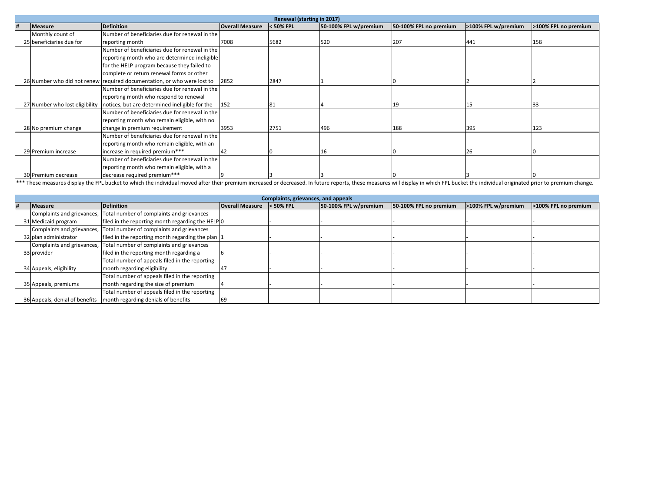|                          |                                                                               |                        | Renewal (starting in 2017) |                       |                        |                     |                      |
|--------------------------|-------------------------------------------------------------------------------|------------------------|----------------------------|-----------------------|------------------------|---------------------|----------------------|
| <b>Measure</b>           | <b>Definition</b>                                                             | <b>Overall Measure</b> | < 50% FPL                  | 50-100% FPL w/premium | 50-100% FPL no premium | >100% FPL w/premium | >100% FPL no premium |
| Monthly count of         | Number of beneficiaries due for renewal in the                                |                        |                            |                       |                        |                     |                      |
| 25 beneficiaries due for | reporting month                                                               | 7008                   | 5682                       | 520                   | 207                    | 441                 | 158                  |
|                          | Number of beneficiaries due for renewal in the                                |                        |                            |                       |                        |                     |                      |
|                          | reporting month who are determined ineligible                                 |                        |                            |                       |                        |                     |                      |
|                          | for the HELP program because they failed to                                   |                        |                            |                       |                        |                     |                      |
|                          | complete or return renewal forms or other                                     |                        |                            |                       |                        |                     |                      |
|                          | 26 Number who did not renew required documentation, or who were lost to       | 2852                   | 2847                       |                       |                        |                     |                      |
|                          | Number of beneficiaries due for renewal in the                                |                        |                            |                       |                        |                     |                      |
|                          | reporting month who respond to renewal                                        |                        |                            |                       |                        |                     |                      |
|                          | 27 Number who lost eligibility notices, but are determined ineligible for the | 152                    | 81                         |                       |                        | 15                  | 33                   |
|                          | Number of beneficiaries due for renewal in the                                |                        |                            |                       |                        |                     |                      |
|                          | reporting month who remain eligible, with no                                  |                        |                            |                       |                        |                     |                      |
| 28 No premium change     | change in premium requirement                                                 | 3953                   | 2751                       | 496                   | 188                    | 395                 | 123                  |
|                          | Number of beneficiaries due for renewal in the                                |                        |                            |                       |                        |                     |                      |
|                          | reporting month who remain eligible, with an                                  |                        |                            |                       |                        |                     |                      |
| 29 Premium increase      | increase in required premium***                                               | 42                     |                            |                       |                        | 26                  |                      |
|                          | Number of beneficiaries due for renewal in the                                |                        |                            |                       |                        |                     |                      |
|                          | reporting month who remain eligible, with a                                   |                        |                            |                       |                        |                     |                      |
| 30 Premium decrease      | decrease required premium***                                                  |                        |                            |                       |                        |                     |                      |

\*\*\* These measures display the FPL bucket to which the individual moved after their premium increased or decreased. In future reports, these measures will display in which FPL bucket the individual originated prior to prem

| Complaints, grievances, and appeals |                                                                      |                        |           |                       |                        |                     |                      |  |  |
|-------------------------------------|----------------------------------------------------------------------|------------------------|-----------|-----------------------|------------------------|---------------------|----------------------|--|--|
| <b>Measure</b>                      | <b>Definition</b>                                                    | <b>Overall Measure</b> | < 50% FPL | 50-100% FPL w/premium | 50-100% FPL no premium | >100% FPL w/premium | >100% FPL no premium |  |  |
| Complaints and grievances,          | Total number of complaints and grievances                            |                        |           |                       |                        |                     |                      |  |  |
| 31 Medicaid program                 | filed in the reporting month regarding the HELPO                     |                        |           |                       |                        |                     |                      |  |  |
|                                     | Complaints and grievances, Total number of complaints and grievances |                        |           |                       |                        |                     |                      |  |  |
| 32 plan administrator               | filed in the reporting month regarding the plan 1                    |                        |           |                       |                        |                     |                      |  |  |
|                                     | Complaints and grievances, Total number of complaints and grievances |                        |           |                       |                        |                     |                      |  |  |
| 33 provider                         | filed in the reporting month regarding a                             |                        |           |                       |                        |                     |                      |  |  |
|                                     | Total number of appeals filed in the reporting                       |                        |           |                       |                        |                     |                      |  |  |
| 34 Appeals, eligibility             | month regarding eligibility                                          | 147                    |           |                       |                        |                     |                      |  |  |
|                                     | Total number of appeals filed in the reporting                       |                        |           |                       |                        |                     |                      |  |  |
| 35 Appeals, premiums                | month regarding the size of premium                                  |                        |           |                       |                        |                     |                      |  |  |
|                                     | Total number of appeals filed in the reporting                       |                        |           |                       |                        |                     |                      |  |  |
| 36 Appeals, denial of benefits      | month regarding denials of benefits                                  |                        |           |                       |                        |                     |                      |  |  |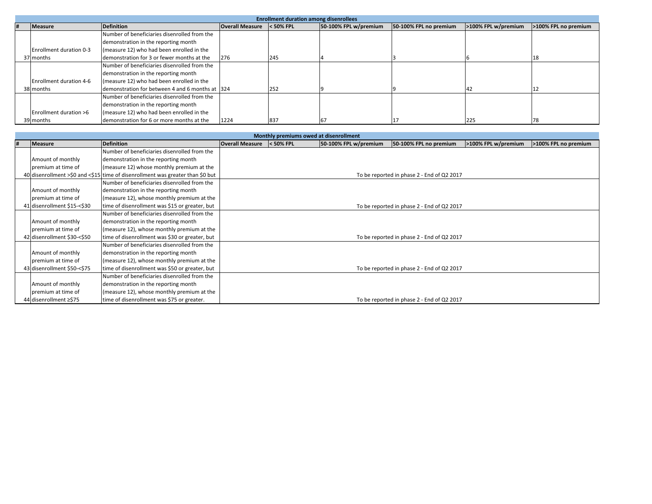|                         |                                                 |                        | <b>Enrollment duration among disenrollees</b> |                       |                        |                     |                      |
|-------------------------|-------------------------------------------------|------------------------|-----------------------------------------------|-----------------------|------------------------|---------------------|----------------------|
| <b>Measure</b>          | <b>Definition</b>                               | <b>Overall Measure</b> | $<$ 50% FPL                                   | 50-100% FPL w/premium | 50-100% FPL no premium | >100% FPL w/premium | >100% FPL no premium |
|                         | Number of beneficiaries disenrolled from the    |                        |                                               |                       |                        |                     |                      |
|                         | demonstration in the reporting month            |                        |                                               |                       |                        |                     |                      |
| Enrollment duration 0-3 | (measure 12) who had been enrolled in the       |                        |                                               |                       |                        |                     |                      |
| 37 months               | demonstration for 3 or fewer months at the      | 276                    | 245                                           |                       |                        |                     | 18                   |
|                         | Number of beneficiaries disenrolled from the    |                        |                                               |                       |                        |                     |                      |
|                         | demonstration in the reporting month            |                        |                                               |                       |                        |                     |                      |
| Enrollment duration 4-6 | (measure 12) who had been enrolled in the       |                        |                                               |                       |                        |                     |                      |
| 38 months               | demonstration for between 4 and 6 months at 324 |                        | 252                                           |                       |                        |                     |                      |
|                         | Number of beneficiaries disenrolled from the    |                        |                                               |                       |                        |                     |                      |
|                         | demonstration in the reporting month            |                        |                                               |                       |                        |                     |                      |
| Enrollment duration >6  | (measure 12) who had been enrolled in the       |                        |                                               |                       |                        |                     |                      |
| 39 months               | demonstration for 6 or more months at the       | 1224                   | 837                                           | 67                    |                        | 225                 | 78                   |

|                             |                                                                                |                        | Monthly premiums owed at disenrollment |                       |                                            |                     |                      |
|-----------------------------|--------------------------------------------------------------------------------|------------------------|----------------------------------------|-----------------------|--------------------------------------------|---------------------|----------------------|
| <b>Measure</b>              | <b>Definition</b>                                                              | <b>Overall Measure</b> | $<$ 50% FPL                            | 50-100% FPL w/premium | 50-100% FPL no premium                     | >100% FPL w/premium | >100% FPL no premium |
|                             | Number of beneficiaries disenrolled from the                                   |                        |                                        |                       |                                            |                     |                      |
| Amount of monthly           | demonstration in the reporting month                                           |                        |                                        |                       |                                            |                     |                      |
| premium at time of          | (measure 12) whose monthly premium at the                                      |                        |                                        |                       |                                            |                     |                      |
|                             | 40 disenrollment >\$0 and <\$15 time of disenrollment was greater than \$0 but |                        |                                        |                       | To be reported in phase 2 - End of Q2 2017 |                     |                      |
|                             | Number of beneficiaries disenrolled from the                                   |                        |                                        |                       |                                            |                     |                      |
| Amount of monthly           | demonstration in the reporting month                                           |                        |                                        |                       |                                            |                     |                      |
| premium at time of          | (measure 12), whose monthly premium at the                                     |                        |                                        |                       |                                            |                     |                      |
| 41 disenrollment \$15-<\$30 | time of disenrollment was \$15 or greater, but                                 |                        |                                        |                       | To be reported in phase 2 - End of Q2 2017 |                     |                      |
|                             | Number of beneficiaries disenrolled from the                                   |                        |                                        |                       |                                            |                     |                      |
| Amount of monthly           | demonstration in the reporting month                                           |                        |                                        |                       |                                            |                     |                      |
| premium at time of          | (measure 12), whose monthly premium at the                                     |                        |                                        |                       |                                            |                     |                      |
| 42 disenrollment \$30-<\$50 | time of disenrollment was \$30 or greater, but                                 |                        |                                        |                       | To be reported in phase 2 - End of Q2 2017 |                     |                      |
|                             | Number of beneficiaries disenrolled from the                                   |                        |                                        |                       |                                            |                     |                      |
| Amount of monthly           | demonstration in the reporting month                                           |                        |                                        |                       |                                            |                     |                      |
| premium at time of          | (measure 12), whose monthly premium at the                                     |                        |                                        |                       |                                            |                     |                      |
| 43 disenrollment \$50-<\$75 | time of disenrollment was \$50 or greater, but                                 |                        |                                        |                       | To be reported in phase 2 - End of Q2 2017 |                     |                      |
|                             | Number of beneficiaries disenrolled from the                                   |                        |                                        |                       |                                            |                     |                      |
| Amount of monthly           | demonstration in the reporting month                                           |                        |                                        |                       |                                            |                     |                      |
| premium at time of          | (measure 12), whose monthly premium at the                                     |                        |                                        |                       |                                            |                     |                      |
| 44 disenrollment ≥\$75      | time of disenrollment was \$75 or greater.                                     |                        |                                        |                       | To be reported in phase 2 - End of Q2 2017 |                     |                      |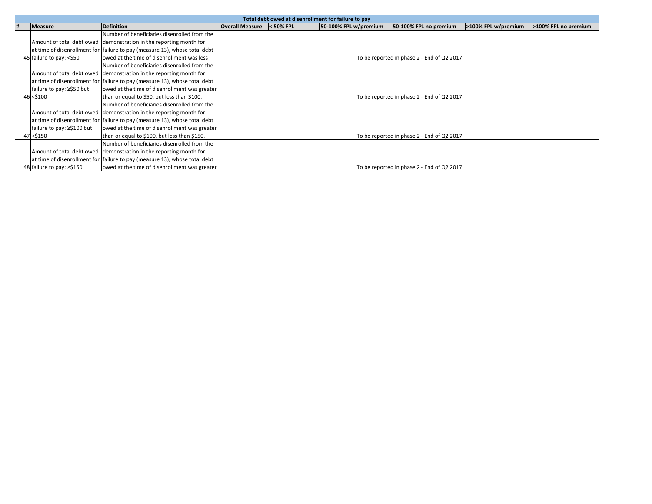|   |                            |                                                                            |                                            |             | Total debt owed at disenrollment for failure to pay |                                            |                     |                      |  |  |  |  |
|---|----------------------------|----------------------------------------------------------------------------|--------------------------------------------|-------------|-----------------------------------------------------|--------------------------------------------|---------------------|----------------------|--|--|--|--|
| # | <b>Measure</b>             | <b>Definition</b>                                                          | <b>Overall Measure</b>                     | $<$ 50% FPL | 50-100% FPL w/premium                               | 50-100% FPL no premium                     | >100% FPL w/premium | >100% FPL no premium |  |  |  |  |
|   |                            | Number of beneficiaries disenrolled from the                               |                                            |             |                                                     |                                            |                     |                      |  |  |  |  |
|   |                            | Amount of total debt owed demonstration in the reporting month for         |                                            |             |                                                     |                                            |                     |                      |  |  |  |  |
|   |                            | at time of disenrollment for failure to pay (measure 13), whose total debt |                                            |             |                                                     |                                            |                     |                      |  |  |  |  |
|   | 45 failure to pay: <\$50   | lowed at the time of disenrollment was less                                |                                            |             |                                                     | To be reported in phase 2 - End of Q2 2017 |                     |                      |  |  |  |  |
|   |                            | Number of beneficiaries disenrolled from the                               |                                            |             |                                                     |                                            |                     |                      |  |  |  |  |
|   |                            | Amount of total debt owed demonstration in the reporting month for         |                                            |             |                                                     |                                            |                     |                      |  |  |  |  |
|   |                            | at time of disenrollment for failure to pay (measure 13), whose total debt |                                            |             |                                                     |                                            |                     |                      |  |  |  |  |
|   | failure to pay: ≥\$50 but  | lowed at the time of disenrollment was greater                             |                                            |             |                                                     |                                            |                     |                      |  |  |  |  |
|   | 46 < \$100                 | than or equal to \$50, but less than \$100.                                | To be reported in phase 2 - End of Q2 2017 |             |                                                     |                                            |                     |                      |  |  |  |  |
|   |                            | Number of beneficiaries disenrolled from the                               |                                            |             |                                                     |                                            |                     |                      |  |  |  |  |
|   |                            | Amount of total debt owed demonstration in the reporting month for         |                                            |             |                                                     |                                            |                     |                      |  |  |  |  |
|   |                            | at time of disenrollment for failure to pay (measure 13), whose total debt |                                            |             |                                                     |                                            |                     |                      |  |  |  |  |
|   | failure to pay: ≥\$100 but | owed at the time of disenrollment was greater                              |                                            |             |                                                     |                                            |                     |                      |  |  |  |  |
|   | 47 < \$150                 | than or equal to \$100, but less than \$150.                               |                                            |             |                                                     | To be reported in phase 2 - End of Q2 2017 |                     |                      |  |  |  |  |
|   |                            | Number of beneficiaries disenrolled from the                               |                                            |             |                                                     |                                            |                     |                      |  |  |  |  |
|   |                            | Amount of total debt owed demonstration in the reporting month for         |                                            |             |                                                     |                                            |                     |                      |  |  |  |  |
|   |                            | at time of disenrollment for failure to pay (measure 13), whose total debt |                                            |             |                                                     |                                            |                     |                      |  |  |  |  |
|   | 48 failure to pay: ≥\$150  | owed at the time of disenrollment was greater                              |                                            |             |                                                     | To be reported in phase 2 - End of Q2 2017 |                     |                      |  |  |  |  |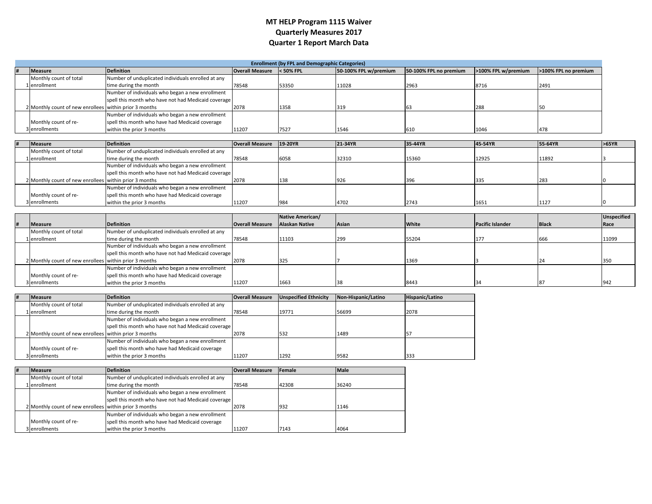#### **MT HELP Program 1115 Waiver Quarterly Measures 2017 Quarter 1 Report March Data**

|                                                        | <b>Enrollment (by FPL and Demographic Categories)</b> |                        |             |                       |                        |                     |                      |  |  |  |
|--------------------------------------------------------|-------------------------------------------------------|------------------------|-------------|-----------------------|------------------------|---------------------|----------------------|--|--|--|
| <b>Measure</b>                                         | <b>Definition</b>                                     | <b>Overall Measure</b> | $<$ 50% FPL | 50-100% FPL w/premium | 50-100% FPL no premium | >100% FPL w/premium | >100% FPL no premium |  |  |  |
| Monthly count of total                                 | Number of unduplicated individuals enrolled at any    |                        |             |                       |                        |                     |                      |  |  |  |
| 1 enrollment                                           | time during the month                                 | 78548                  | 53350       | 11028                 | 2963                   | 8716                | 2491                 |  |  |  |
|                                                        | Number of individuals who began a new enrollment      |                        |             |                       |                        |                     |                      |  |  |  |
|                                                        | spell this month who have not had Medicaid coverage   |                        |             |                       |                        |                     |                      |  |  |  |
| 2 Monthly count of new enrollees within prior 3 months |                                                       | 2078                   | 1358        | 319                   |                        | 288                 |                      |  |  |  |
|                                                        | Number of individuals who began a new enrollment      |                        |             |                       |                        |                     |                      |  |  |  |
| Monthly count of re-                                   | spell this month who have had Medicaid coverage       |                        |             |                       |                        |                     |                      |  |  |  |
| denrollments                                           | within the prior 3 months                             | 11207                  | 7527        | 1546                  | 610                    | 1046                | 478                  |  |  |  |

| <b>Measure</b>                                         | <b>Definition</b>                                   | <b>Overall Measure</b> | 19-20YR | 21-34YR | 35-44YR | 45-54YR | 55-64YR | >65YR |
|--------------------------------------------------------|-----------------------------------------------------|------------------------|---------|---------|---------|---------|---------|-------|
| Monthly count of total                                 | Number of unduplicated individuals enrolled at any  |                        |         |         |         |         |         |       |
| 1 lenrollment                                          | time during the month                               | 78548                  | 6058    | 32310   | 15360   | 12925   | 11892   |       |
|                                                        | Number of individuals who began a new enrollment    |                        |         |         |         |         |         |       |
|                                                        | spell this month who have not had Medicaid coverage |                        |         |         |         |         |         |       |
| 2 Monthly count of new enrollees within prior 3 months |                                                     | 2078                   | 138     | 926     | 396     | 335     | 283     |       |
|                                                        | Number of individuals who began a new enrollment    |                        |         |         |         |         |         |       |
| Monthly count of re-                                   | spell this month who have had Medicaid coverage     |                        |         |         |         |         |         |       |
| 3 enrollments                                          | within the prior 3 months                           | 11207                  | 984     | 4702    | 2743    | 1651    | 1127    |       |

|                                                        |                                                     |                        | Native American/      |       |       |                         |              | <b>Unspecified</b> |
|--------------------------------------------------------|-----------------------------------------------------|------------------------|-----------------------|-------|-------|-------------------------|--------------|--------------------|
| <b>Measure</b>                                         | <b>Definition</b>                                   | <b>Overall Measure</b> | <b>Alaskan Native</b> | Asian | White | <b>Pacific Islander</b> | <b>Black</b> | Race               |
| Monthly count of total                                 | Number of unduplicated individuals enrolled at any  |                        |                       |       |       |                         |              |                    |
| 1 lenrollment                                          | time during the month                               | 78548                  | 11103                 | 299   | 55204 | 177                     | 1666         | 11099              |
|                                                        | Number of individuals who began a new enrollment    |                        |                       |       |       |                         |              |                    |
|                                                        | spell this month who have not had Medicaid coverage |                        |                       |       |       |                         |              |                    |
| 2 Monthly count of new enrollees within prior 3 months |                                                     | 2078                   | 325                   |       | 1369  |                         |              | 350                |
|                                                        | Number of individuals who began a new enrollment    |                        |                       |       |       |                         |              |                    |
| Monthly count of re-                                   | spell this month who have had Medicaid coverage     |                        |                       |       |       |                         |              |                    |
| denrollments                                           | within the prior 3 months                           | 11207                  | 1663                  |       | 8443  |                         |              |                    |

| <b>IMeasure</b>                                        | <b>Definition</b>                                   | <b>Overall Measure</b> | <b>Unspecified Ethnicity</b> | Non-Hispanic/Latino | Hispanic/Latino |
|--------------------------------------------------------|-----------------------------------------------------|------------------------|------------------------------|---------------------|-----------------|
| Monthly count of total                                 | Number of unduplicated individuals enrolled at any  |                        |                              |                     |                 |
| 1 enrollment                                           | time during the month                               | 78548                  | 19771                        | 56699               | 2078            |
|                                                        | Number of individuals who began a new enrollment    |                        |                              |                     |                 |
|                                                        | spell this month who have not had Medicaid coverage |                        |                              |                     |                 |
| 2 Monthly count of new enrollees within prior 3 months |                                                     | 2078                   | 532                          | 1489                |                 |
|                                                        | Number of individuals who began a new enrollment    |                        |                              |                     |                 |
| Monthly count of re-                                   | spell this month who have had Medicaid coverage     |                        |                              |                     |                 |
| 3 enrollments                                          | within the prior 3 months                           | 11207                  | 1292                         | 9582                | 333             |

| # | <b>Measure</b>                                         | <b>Definition</b>                                   | <b>Overall Measure</b> | Female | Male  |
|---|--------------------------------------------------------|-----------------------------------------------------|------------------------|--------|-------|
|   | Monthly count of total                                 | Number of unduplicated individuals enrolled at any  |                        |        |       |
|   | Llenrollment                                           | time during the month                               | 78548                  | 42308  | 36240 |
|   |                                                        | Number of individuals who began a new enrollment    |                        |        |       |
|   |                                                        | spell this month who have not had Medicaid coverage |                        |        |       |
|   | 2 Monthly count of new enrollees within prior 3 months |                                                     | 2078                   | 932    | 1146  |
|   |                                                        | Number of individuals who began a new enrollment    |                        |        |       |
|   | Monthly count of re-                                   | spell this month who have had Medicaid coverage     |                        |        |       |
|   | 3 enrollments                                          | within the prior 3 months                           | 11207                  | 7143   | 4064  |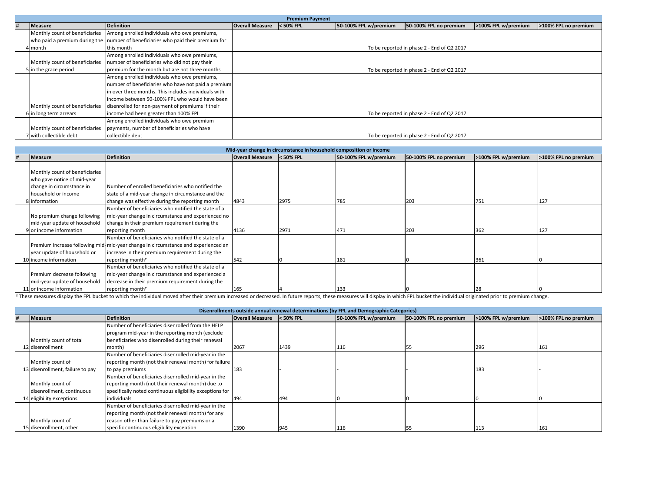|  |                                |                                                                                  |                        | <b>Premium Payment</b> |                       |                                            |                     |                      |
|--|--------------------------------|----------------------------------------------------------------------------------|------------------------|------------------------|-----------------------|--------------------------------------------|---------------------|----------------------|
|  | Measure                        | <b>Definition</b>                                                                | <b>Overall Measure</b> | $<$ 50% FPL            | 50-100% FPL w/premium | 50-100% FPL no premium                     | >100% FPL w/premium | >100% FPL no premium |
|  |                                | Monthly count of beneficiaries Among enrolled individuals who owe premiums,      |                        |                        |                       |                                            |                     |                      |
|  |                                | who paid a premium during the number of beneficiaries who paid their premium for |                        |                        |                       |                                            |                     |                      |
|  | 4 month                        | this month                                                                       |                        |                        |                       | To be reported in phase 2 - End of Q2 2017 |                     |                      |
|  |                                | Among enrolled individuals who owe premiums,                                     |                        |                        |                       |                                            |                     |                      |
|  | Monthly count of beneficiaries | number of beneficiaries who did not pay their                                    |                        |                        |                       |                                            |                     |                      |
|  | 5 in the grace period          | premium for the month but are not three months                                   |                        |                        |                       | To be reported in phase 2 - End of Q2 2017 |                     |                      |
|  |                                | Among enrolled individuals who owe premiums,                                     |                        |                        |                       |                                            |                     |                      |
|  |                                | number of beneficiaries who have not paid a premium                              |                        |                        |                       |                                            |                     |                      |
|  |                                | in over three months. This includes individuals with                             |                        |                        |                       |                                            |                     |                      |
|  |                                | income between 50-100% FPL who would have been                                   |                        |                        |                       |                                            |                     |                      |
|  | Monthly count of beneficiaries | disenrolled for non-payment of premiums if their                                 |                        |                        |                       |                                            |                     |                      |
|  | 6 in long term arrears         | income had been greater than 100% FPL                                            |                        |                        |                       | To be reported in phase 2 - End of Q2 2017 |                     |                      |
|  |                                | Among enrolled individuals who owe premium                                       |                        |                        |                       |                                            |                     |                      |
|  | Monthly count of beneficiaries | payments, number of beneficiaries who have                                       |                        |                        |                       |                                            |                     |                      |
|  | 7 with collectible debt        | collectible debt                                                                 |                        |                        |                       | To be reported in phase 2 - End of Q2 2017 |                     |                      |

|  |                                |                                                                                                                                                                                                                                |                           | Mid-year change in circumstance in household composition or income |                       |                        |                     |                      |
|--|--------------------------------|--------------------------------------------------------------------------------------------------------------------------------------------------------------------------------------------------------------------------------|---------------------------|--------------------------------------------------------------------|-----------------------|------------------------|---------------------|----------------------|
|  | Measure                        | <b>Definition</b>                                                                                                                                                                                                              | Overall Measure < 50% FPL |                                                                    | 50-100% FPL w/premium | 50-100% FPL no premium | >100% FPL w/premium | >100% FPL no premium |
|  |                                |                                                                                                                                                                                                                                |                           |                                                                    |                       |                        |                     |                      |
|  | Monthly count of beneficiaries |                                                                                                                                                                                                                                |                           |                                                                    |                       |                        |                     |                      |
|  | who gave notice of mid-year    |                                                                                                                                                                                                                                |                           |                                                                    |                       |                        |                     |                      |
|  | change in circumstance in      | Number of enrolled beneficiaries who notified the                                                                                                                                                                              |                           |                                                                    |                       |                        |                     |                      |
|  | household or income            | state of a mid-year change in circumstance and the                                                                                                                                                                             |                           |                                                                    |                       |                        |                     |                      |
|  | 8 information                  | change was effective during the reporting month                                                                                                                                                                                | 4843                      | 2975                                                               | 785                   | 203                    | 751                 | 127                  |
|  |                                | Number of beneficiaries who notified the state of a                                                                                                                                                                            |                           |                                                                    |                       |                        |                     |                      |
|  | No premium change following    | mid-year change in circumstance and experienced no                                                                                                                                                                             |                           |                                                                    |                       |                        |                     |                      |
|  | mid-year update of household   | change in their premium requirement during the                                                                                                                                                                                 |                           |                                                                    |                       |                        |                     |                      |
|  | 9 or income information        | reporting month                                                                                                                                                                                                                | 4136                      | 2971                                                               | 471                   | 203                    | 362                 | 127                  |
|  |                                | Number of beneficiaries who notified the state of a                                                                                                                                                                            |                           |                                                                    |                       |                        |                     |                      |
|  |                                | Premium increase following mid-mid-year change in circumstance and experienced an                                                                                                                                              |                           |                                                                    |                       |                        |                     |                      |
|  | year update of household or    | increase in their premium requirement during the                                                                                                                                                                               |                           |                                                                    |                       |                        |                     |                      |
|  | 10 income information          | reporting month <sup>*</sup>                                                                                                                                                                                                   | 542                       |                                                                    | 181                   |                        | 361                 |                      |
|  |                                | Number of beneficiaries who notified the state of a                                                                                                                                                                            |                           |                                                                    |                       |                        |                     |                      |
|  | Premium decrease following     | mid-year change in circumstance and experienced a                                                                                                                                                                              |                           |                                                                    |                       |                        |                     |                      |
|  | mid-year update of household   | decrease in their premium requirement during the                                                                                                                                                                               |                           |                                                                    |                       |                        |                     |                      |
|  | 11 or income information       | reporting month <sup>*</sup>                                                                                                                                                                                                   | 165                       |                                                                    | 133                   |                        | 28                  |                      |
|  |                                | Y These measures display the FPL bucket to which the individual moved after their premium increased or decreased. In future reports, these measures will display in which FPL bucket the individual originated prior to premiu |                           |                                                                    |                       |                        |                     |                      |

|                                  |                                                          |                        |             | Disenrollments outside annual renewal determinations (by FPL and Demographic Categories) |                        |                     |                      |
|----------------------------------|----------------------------------------------------------|------------------------|-------------|------------------------------------------------------------------------------------------|------------------------|---------------------|----------------------|
| Measure                          | <b>Definition</b>                                        | <b>Overall Measure</b> | $<$ 50% FPL | 50-100% FPL w/premium                                                                    | 50-100% FPL no premium | >100% FPL w/premium | >100% FPL no premium |
|                                  | Number of beneficiaries disenrolled from the HELP        |                        |             |                                                                                          |                        |                     |                      |
|                                  | program mid-year in the reporting month (exclude         |                        |             |                                                                                          |                        |                     |                      |
| Monthly count of total           | beneficiaries who disenrolled during their renewal       |                        |             |                                                                                          |                        |                     |                      |
| 12 disenrollment                 | month)                                                   | 2067                   | 1439        | 116                                                                                      |                        | 296                 | 161                  |
|                                  | Number of beneficiaries disenrolled mid-year in the      |                        |             |                                                                                          |                        |                     |                      |
| Monthly count of                 | reporting month (not their renewal month) for failure    |                        |             |                                                                                          |                        |                     |                      |
| 13 disenrollment, failure to pay | to pay premiums                                          | 183                    |             |                                                                                          |                        | 183                 |                      |
|                                  | Number of beneficiaries disenrolled mid-year in the      |                        |             |                                                                                          |                        |                     |                      |
| Monthly count of                 | reporting month (not their renewal month) due to         |                        |             |                                                                                          |                        |                     |                      |
| disenrollment, continuous        | specifically noted continuous eligibility exceptions for |                        |             |                                                                                          |                        |                     |                      |
| 14 eligibility exceptions        | individuals                                              | 494                    | 494         |                                                                                          |                        |                     |                      |
|                                  | Number of beneficiaries disenrolled mid-year in the      |                        |             |                                                                                          |                        |                     |                      |
|                                  | reporting month (not their renewal month) for any        |                        |             |                                                                                          |                        |                     |                      |
| Monthly count of                 | reason other than failure to pay premiums or a           |                        |             |                                                                                          |                        |                     |                      |
| 15 disenrollment, other          | specific continuous eligibility exception                | 1390                   | 945         | 116                                                                                      |                        | 113                 | 161                  |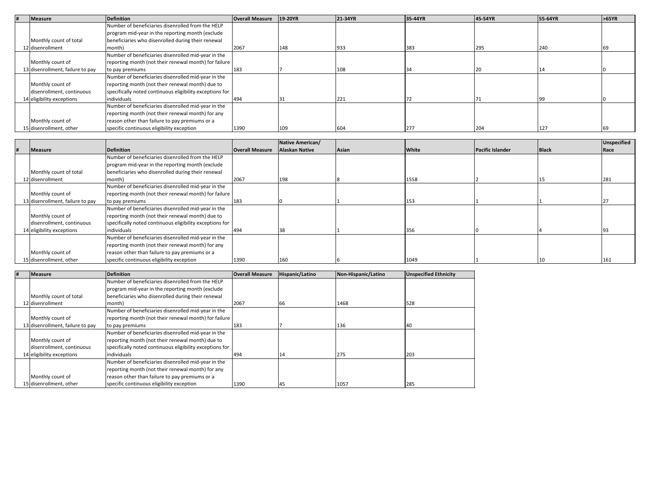| H | Measure                          | <b>Definition</b>                                        | <b>Overall Measure</b> | 19-20YR | 21-34YR | 35-44YR | 45-54YR | 55-64YR | >65YR |
|---|----------------------------------|----------------------------------------------------------|------------------------|---------|---------|---------|---------|---------|-------|
|   |                                  | Number of beneficiaries disenrolled from the HELP        |                        |         |         |         |         |         |       |
|   |                                  | program mid-year in the reporting month (exclude         |                        |         |         |         |         |         |       |
|   | Monthly count of total           | beneficiaries who disenrolled during their renewal       |                        |         |         |         |         |         |       |
|   | 12 disenrollment                 | month)                                                   | 2067                   | 148     | 933     | 383     | 295     | 240     |       |
|   |                                  | Number of beneficiaries disenrolled mid-year in the      |                        |         |         |         |         |         |       |
|   | Monthly count of                 | reporting month (not their renewal month) for failure    |                        |         |         |         |         |         |       |
|   | 13 disenrollment, failure to pay | to pay premiums                                          | 183                    |         | 108     |         |         |         |       |
|   |                                  | Number of beneficiaries disenrolled mid-year in the      |                        |         |         |         |         |         |       |
|   | Monthly count of                 | reporting month (not their renewal month) due to         |                        |         |         |         |         |         |       |
|   | disenrollment, continuous        | specifically noted continuous eligibility exceptions for |                        |         |         |         |         |         |       |
|   | 14 eligibility exceptions        | individuals                                              | 494                    |         | 221     |         |         |         |       |
|   |                                  | Number of beneficiaries disenrolled mid-year in the      |                        |         |         |         |         |         |       |
|   |                                  | reporting month (not their renewal month) for any        |                        |         |         |         |         |         |       |
|   | Monthly count of                 | reason other than failure to pay premiums or a           |                        |         |         |         |         |         |       |
|   | 15 disenrollment, other          | specific continuous eligibility exception                | 1390                   | 109     | 604     | 277     | 204     | 127     |       |

|                                  |                                                          |                        | Native American/      |       |       |                         |              | Unspecified |
|----------------------------------|----------------------------------------------------------|------------------------|-----------------------|-------|-------|-------------------------|--------------|-------------|
| <b>Measure</b>                   | <b>Definition</b>                                        | <b>Overall Measure</b> | <b>Alaskan Native</b> | Asian | White | <b>Pacific Islander</b> | <b>Black</b> | Race        |
|                                  | Number of beneficiaries disenrolled from the HELP        |                        |                       |       |       |                         |              |             |
|                                  | program mid-year in the reporting month (exclude         |                        |                       |       |       |                         |              |             |
| Monthly count of total           | beneficiaries who disenrolled during their renewal       |                        |                       |       |       |                         |              |             |
| 2 disenrollment                  | month)                                                   | 2067                   | 198                   |       | 1558  |                         |              | 281         |
|                                  | Number of beneficiaries disenrolled mid-year in the      |                        |                       |       |       |                         |              |             |
| Monthly count of                 | reporting month (not their renewal month) for failure    |                        |                       |       |       |                         |              |             |
| 13 disenrollment, failure to pay | to pay premiums                                          | 183                    |                       |       | 153   |                         |              |             |
|                                  | Number of beneficiaries disenrolled mid-year in the      |                        |                       |       |       |                         |              |             |
| Monthly count of                 | reporting month (not their renewal month) due to         |                        |                       |       |       |                         |              |             |
| disenrollment, continuous        | specifically noted continuous eligibility exceptions for |                        |                       |       |       |                         |              |             |
| 4 eligibility exceptions         | individuals                                              | 494                    |                       |       | 356   |                         |              |             |
|                                  | Number of beneficiaries disenrolled mid-year in the      |                        |                       |       |       |                         |              |             |
|                                  | reporting month (not their renewal month) for any        |                        |                       |       |       |                         |              |             |
| Monthly count of                 | reason other than failure to pay premiums or a           |                        |                       |       |       |                         |              |             |
| 15 disenrollment, other          | specific continuous eligibility exception                | 1390                   | 160                   |       | 1049  |                         |              | 161         |

| # | <b>Measure</b>                   | <b>Definition</b>                                        | <b>Overall Measure</b> | Hispanic/Latino | Non-Hispanic/Latino | <b>Unspecified Ethnicity</b> |
|---|----------------------------------|----------------------------------------------------------|------------------------|-----------------|---------------------|------------------------------|
|   |                                  | Number of beneficiaries disenrolled from the HELP        |                        |                 |                     |                              |
|   |                                  | program mid-year in the reporting month (exclude         |                        |                 |                     |                              |
|   | Monthly count of total           | beneficiaries who disenrolled during their renewal       |                        |                 |                     |                              |
|   | 12 disenrollment                 | month)                                                   | 2067                   | 66              | 1468                | 528                          |
|   |                                  | Number of beneficiaries disenrolled mid-year in the      |                        |                 |                     |                              |
|   | Monthly count of                 | reporting month (not their renewal month) for failure    |                        |                 |                     |                              |
|   | 13 disenrollment, failure to pay | to pay premiums                                          | 183                    |                 | 136                 | 40                           |
|   |                                  | Number of beneficiaries disenrolled mid-year in the      |                        |                 |                     |                              |
|   | Monthly count of                 | reporting month (not their renewal month) due to         |                        |                 |                     |                              |
|   | disenrollment, continuous        | specifically noted continuous eligibility exceptions for |                        |                 |                     |                              |
|   | 14 eligibility exceptions        | individuals                                              | 494                    | 14              | 275                 | 203                          |
|   |                                  | Number of beneficiaries disenrolled mid-year in the      |                        |                 |                     |                              |
|   |                                  | reporting month (not their renewal month) for any        |                        |                 |                     |                              |
|   | Monthly count of                 | reason other than failure to pay premiums or a           |                        |                 |                     |                              |
|   | 15 disenrollment, other          | specific continuous eligibility exception                | 1390                   | 45              | 1057                | 285                          |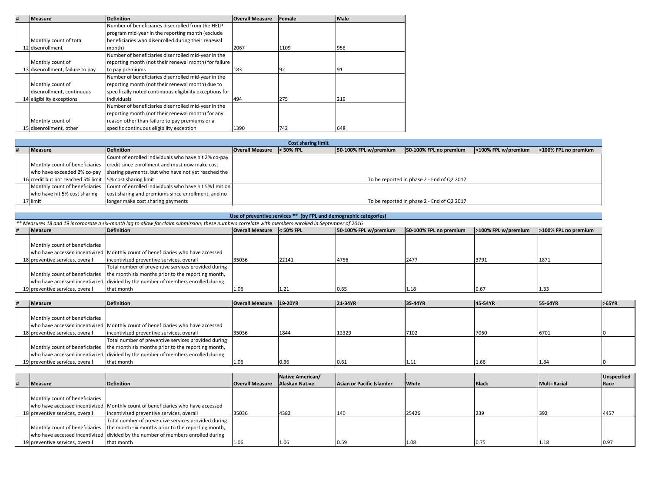| # | <b>Measure</b>                   | <b>Definition</b>                                        | <b>Overall Measure</b> | Female | Male |
|---|----------------------------------|----------------------------------------------------------|------------------------|--------|------|
|   |                                  | Number of beneficiaries disenrolled from the HELP        |                        |        |      |
|   |                                  | program mid-year in the reporting month (exclude         |                        |        |      |
|   | Monthly count of total           | beneficiaries who disenrolled during their renewal       |                        |        |      |
|   | 12 disenrollment                 | month)                                                   | 2067                   | 1109   | 958  |
|   |                                  | Number of beneficiaries disenrolled mid-year in the      |                        |        |      |
|   | Monthly count of                 | reporting month (not their renewal month) for failure    |                        |        |      |
|   | 13 disenrollment, failure to pay | to pay premiums                                          | 183                    | 92     | 91   |
|   |                                  | Number of beneficiaries disenrolled mid-year in the      |                        |        |      |
|   | Monthly count of                 | reporting month (not their renewal month) due to         |                        |        |      |
|   | disenrollment, continuous        | specifically noted continuous eligibility exceptions for |                        |        |      |
|   | 14 eligibility exceptions        | individuals                                              | 494                    | 275    | 219  |
|   |                                  | Number of beneficiaries disenrolled mid-year in the      |                        |        |      |
|   |                                  | reporting month (not their renewal month) for any        |                        |        |      |
|   | Monthly count of                 | reason other than failure to pay premiums or a           |                        |        |      |
|   | 15 disenrollment, other          | specific continuous eligibility exception                | 1390                   | 742    | 648  |

|                                                          |                                                                                       |                                     | <b>Cost sharing limit</b> |                       |                                            |                     |                      |
|----------------------------------------------------------|---------------------------------------------------------------------------------------|-------------------------------------|---------------------------|-----------------------|--------------------------------------------|---------------------|----------------------|
| <b>Measure</b>                                           | <b>Definition</b>                                                                     | <b>Overall Measure &lt; 50% FPL</b> |                           | 50-100% FPL w/premium | 50-100% FPL no premium                     | >100% FPL w/premium | >100% FPL no premium |
|                                                          | Count of enrolled individuals who have hit 2% co-pay                                  |                                     |                           |                       |                                            |                     |                      |
|                                                          | Monthly count of beneficiaries credit since enrollment and must now make cost         |                                     |                           |                       |                                            |                     |                      |
|                                                          | who have exceeded 2% co-pay sharing payments, but who have not yet reached the        |                                     |                           |                       |                                            |                     |                      |
| 16 credit but not reached 5% limit 5% cost sharing limit |                                                                                       |                                     |                           |                       | To be reported in phase 2 - End of Q2 2017 |                     |                      |
|                                                          | Monthly count of beneficiaries Count of enrolled individuals who have hit 5% limit on |                                     |                           |                       |                                            |                     |                      |
| who have hit 5% cost sharing                             | cost sharing and premiums since enrollment, and no                                    |                                     |                           |                       |                                            |                     |                      |
| ⊥7 limit                                                 | longer make cost sharing payments                                                     |                                     |                           |                       | To be reported in phase 2 - End of Q2 2017 |                     |                      |

#### **Use of preventive services \*\* (by FPL and demographic categories)**

| ** Measures 18 and 19 incorporate a six-month lag to allow for claim submission; these numbers correlate with members enrolled in September of 2016 |                                                                                   |                        |             |                       |                        |                     |                      |  |  |
|-----------------------------------------------------------------------------------------------------------------------------------------------------|-----------------------------------------------------------------------------------|------------------------|-------------|-----------------------|------------------------|---------------------|----------------------|--|--|
| <b>Measure</b>                                                                                                                                      | <b>Definition</b>                                                                 | <b>Overall Measure</b> | $<$ 50% FPL | 50-100% FPL w/premium | 50-100% FPL no premium | >100% FPL w/premium | >100% FPL no premium |  |  |
|                                                                                                                                                     |                                                                                   |                        |             |                       |                        |                     |                      |  |  |
| Monthly count of beneficiaries                                                                                                                      |                                                                                   |                        |             |                       |                        |                     |                      |  |  |
|                                                                                                                                                     | who have accessed incentivized Monthly count of beneficiaries who have accessed   |                        |             |                       |                        |                     |                      |  |  |
| 18 preventive services, overall                                                                                                                     | incentivized preventive services, overall                                         | 35036                  | 22141       | 4756                  | 2477                   | 3791                | 1871                 |  |  |
|                                                                                                                                                     | Total number of preventive services provided during                               |                        |             |                       |                        |                     |                      |  |  |
|                                                                                                                                                     | Monthly count of beneficiaries the month six months prior to the reporting month, |                        |             |                       |                        |                     |                      |  |  |
|                                                                                                                                                     | who have accessed incentivized divided by the number of members enrolled during   |                        |             |                       |                        |                     |                      |  |  |
| 19 preventive services, overall                                                                                                                     | that month                                                                        | 1.06                   | 1.21        | 0.65                  | 1.18                   | 0.67                | 1.33                 |  |  |

| <b>Measure</b>                  | <b>Definition</b>                                                                 | Overall Measure 19-20YR |      | 21-34YR | 35-44YR | 45-54YR | 55-64YR | >65YR |
|---------------------------------|-----------------------------------------------------------------------------------|-------------------------|------|---------|---------|---------|---------|-------|
|                                 |                                                                                   |                         |      |         |         |         |         |       |
| Monthly count of beneficiaries  |                                                                                   |                         |      |         |         |         |         |       |
|                                 | who have accessed incentivized Monthly count of beneficiaries who have accessed   |                         |      |         |         |         |         |       |
| 18 preventive services, overall | incentivized preventive services, overall                                         | 35036                   | 1844 | 12329   | 7102    | 7060    | 6701    |       |
|                                 | Total number of preventive services provided during                               |                         |      |         |         |         |         |       |
|                                 | Monthly count of beneficiaries the month six months prior to the reporting month, |                         |      |         |         |         |         |       |
|                                 | who have accessed incentivized divided by the number of members enrolled during   |                         |      |         |         |         |         |       |
| 19 preventive services, overall | that month                                                                        | 1.06                    | 0.36 | 0.61    | 1.11    | 1.66    | 1.84    |       |

|                                 |                                                                                   |                        | Native American/      |                           |              |              |              | <b>Unspecified</b> |
|---------------------------------|-----------------------------------------------------------------------------------|------------------------|-----------------------|---------------------------|--------------|--------------|--------------|--------------------|
| <b>Measure</b>                  | <b>Definition</b>                                                                 | <b>Overall Measure</b> | <b>Alaskan Native</b> | Asian or Pacific Islander | <b>White</b> | <b>Black</b> | Multi-Racial | Race               |
|                                 |                                                                                   |                        |                       |                           |              |              |              |                    |
| Monthly count of beneficiaries  |                                                                                   |                        |                       |                           |              |              |              |                    |
|                                 | who have accessed incentivized Monthly count of beneficiaries who have accessed   |                        |                       |                           |              |              |              |                    |
| 18 preventive services, overall | incentivized preventive services, overall                                         | 35036                  | 4382                  | 140                       | 25426        | 239          | 392          | 4457               |
|                                 | Total number of preventive services provided during                               |                        |                       |                           |              |              |              |                    |
|                                 | Monthly count of beneficiaries the month six months prior to the reporting month, |                        |                       |                           |              |              |              |                    |
|                                 | who have accessed incentivized divided by the number of members enrolled during   |                        |                       |                           |              |              |              |                    |
| 19 preventive services, overall | that month                                                                        | 1.06                   | 1.06                  | 0.59                      | 1.08         |              | 1.18         | 0.97               |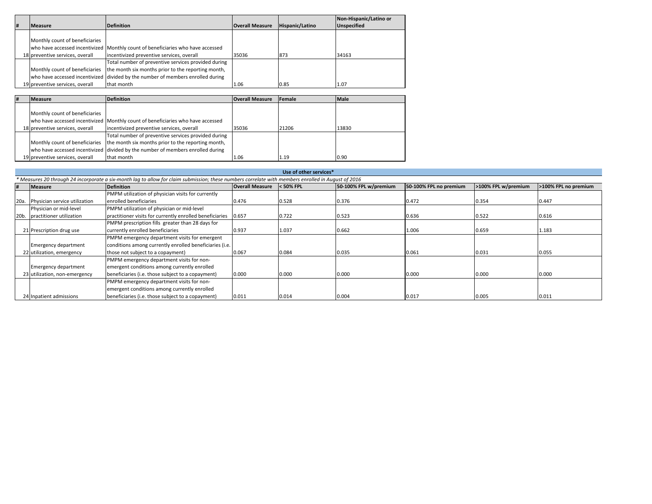|   |                                 |                                                                                 |                        |                 | Non-Hispanic/Latino or |
|---|---------------------------------|---------------------------------------------------------------------------------|------------------------|-----------------|------------------------|
| # | <b>Measure</b>                  | <b>Definition</b>                                                               | <b>Overall Measure</b> | Hispanic/Latino | <b>Unspecified</b>     |
|   |                                 |                                                                                 |                        |                 |                        |
|   | Monthly count of beneficiaries  |                                                                                 |                        |                 |                        |
|   |                                 | who have accessed incentivized Monthly count of beneficiaries who have accessed |                        |                 |                        |
|   | 18 preventive services, overall | incentivized preventive services, overall                                       | 35036                  | 873             | 34163                  |
|   |                                 | Total number of preventive services provided during                             |                        |                 |                        |
|   | Monthly count of beneficiaries  | the month six months prior to the reporting month,                              |                        |                 |                        |
|   |                                 | who have accessed incentivized divided by the number of members enrolled during |                        |                 |                        |
|   | 19 preventive services, overall | that month                                                                      | 1.06                   | 0.85            | 1.07                   |
|   |                                 |                                                                                 |                        |                 |                        |

| # | <b>Measure</b>                  | <b>Definition</b>                                                                 | <b>Overall Measure</b> | Female | <b>Male</b> |
|---|---------------------------------|-----------------------------------------------------------------------------------|------------------------|--------|-------------|
|   |                                 |                                                                                   |                        |        |             |
|   | Monthly count of beneficiaries  |                                                                                   |                        |        |             |
|   |                                 | who have accessed incentivized Monthly count of beneficiaries who have accessed   |                        |        |             |
|   | 18 preventive services, overall | incentivized preventive services, overall                                         | 35036                  | 21206  | 13830       |
|   |                                 | Total number of preventive services provided during                               |                        |        |             |
|   |                                 | Monthly count of beneficiaries the month six months prior to the reporting month, |                        |        |             |
|   |                                 | who have accessed incentivized divided by the number of members enrolled during   |                        |        |             |
|   | 19 preventive services, overall | that month                                                                        | 1.06                   | 1.19   | 0.90        |

|      | Use of other services*        |                                                                                                                                                     |                        |             |                       |                        |                     |                      |  |  |
|------|-------------------------------|-----------------------------------------------------------------------------------------------------------------------------------------------------|------------------------|-------------|-----------------------|------------------------|---------------------|----------------------|--|--|
|      |                               | * Measures 20 through 24 incorporate a six-month lag to allow for claim submission; these numbers correlate with members enrolled in August of 2016 |                        |             |                       |                        |                     |                      |  |  |
| #    | <b>Measure</b>                | <b>Definition</b>                                                                                                                                   | <b>Overall Measure</b> | $<$ 50% FPL | 50-100% FPL w/premium | 50-100% FPL no premium | >100% FPL w/premium | >100% FPL no premium |  |  |
|      |                               | PMPM utilization of physician visits for currently                                                                                                  |                        |             |                       |                        |                     |                      |  |  |
| 20a  | Physician service utilization | enrolled beneficiaries                                                                                                                              | 0.476                  | 0.528       | 0.376                 | 0.472                  | 0.354               | 0.447                |  |  |
|      | Physician or mid-level        | PMPM utilization of physician or mid-level                                                                                                          |                        |             |                       |                        |                     |                      |  |  |
| 20b. | practitioner utilization      | practitioner visits for currently enrolled beneficiaries                                                                                            | 0.657                  | 0.722       | 0.523                 | 0.636                  | 0.522               | 0.616                |  |  |
|      |                               | PMPM prescription fills greater than 28 days for                                                                                                    |                        |             |                       |                        |                     |                      |  |  |
|      | 21 Prescription drug use      | currently enrolled beneficiaries                                                                                                                    | 0.937                  | 1.037       | 0.662                 | 1.006                  | 0.659               | 1.183                |  |  |
|      |                               | PMPM emergency department visits for emergent                                                                                                       |                        |             |                       |                        |                     |                      |  |  |
|      | <b>Emergency department</b>   | conditions among currently enrolled beneficiaries (i.e.                                                                                             |                        |             |                       |                        |                     |                      |  |  |
|      | 22 utilization, emergency     | those not subject to a copayment)                                                                                                                   | 0.067                  | 0.084       | 0.035                 | 0.061                  | 0.031               | 0.055                |  |  |
|      |                               | PMPM emergency department visits for non-                                                                                                           |                        |             |                       |                        |                     |                      |  |  |
|      | <b>Emergency department</b>   | emergent conditions among currently enrolled                                                                                                        |                        |             |                       |                        |                     |                      |  |  |
|      | 23 utilization, non-emergency | beneficiaries (i.e. those subject to a copayment)                                                                                                   | 0.000                  | 0.000       | 0.000                 | 0.000                  | 0.000               | 0.000                |  |  |
|      |                               | PMPM emergency department visits for non-                                                                                                           |                        |             |                       |                        |                     |                      |  |  |
|      |                               | emergent conditions among currently enrolled                                                                                                        |                        |             |                       |                        |                     |                      |  |  |
|      | 24 Inpatient admissions       | beneficiaries (i.e. those subject to a copayment)                                                                                                   | 0.011                  | 0.014       | 0.004                 | 0.017                  | 0.005               | 0.011                |  |  |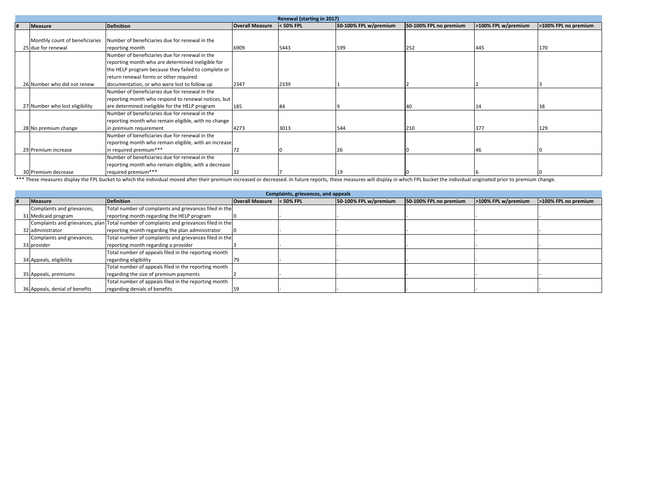|                                |                                                       |                        | Renewal (starting in 2017) |                       |                        |                     |                      |
|--------------------------------|-------------------------------------------------------|------------------------|----------------------------|-----------------------|------------------------|---------------------|----------------------|
| Measure                        | <b>Definition</b>                                     | <b>Overall Measure</b> | $<$ 50% FPL                | 50-100% FPL w/premium | 50-100% FPL no premium | >100% FPL w/premium | >100% FPL no premium |
|                                |                                                       |                        |                            |                       |                        |                     |                      |
| Monthly count of beneficiaries | Number of beneficiaries due for renewal in the        |                        |                            |                       |                        |                     |                      |
| 25 due for renewal             | reporting month                                       | 6909                   | 5443                       | 599                   | 252                    | 445                 | 170                  |
|                                | Number of beneficiaries due for renewal in the        |                        |                            |                       |                        |                     |                      |
|                                | reporting month who are determined ineligible for     |                        |                            |                       |                        |                     |                      |
|                                | the HELP program because they failed to complete or   |                        |                            |                       |                        |                     |                      |
|                                | return renewal forms or other required                |                        |                            |                       |                        |                     |                      |
| 26 Number who did not renew    | documentation, or who were lost to follow up          | 2347                   | 2339                       |                       |                        |                     |                      |
|                                | Number of beneficiaries due for renewal in the        |                        |                            |                       |                        |                     |                      |
|                                | reporting month who respond to renewal notices, but   |                        |                            |                       |                        |                     |                      |
| 27 Number who lost eligibility | are determined ineligible for the HELP program        | 185                    | 84                         |                       |                        |                     |                      |
|                                | Number of beneficiaries due for renewal in the        |                        |                            |                       |                        |                     |                      |
|                                | reporting month who remain eligible, with no change   |                        |                            |                       |                        |                     |                      |
| 28 No premium change           | in premium requirement                                | 4273                   | 3013                       | 544                   | 210                    | 377                 | 129                  |
|                                | Number of beneficiaries due for renewal in the        |                        |                            |                       |                        |                     |                      |
|                                | reporting month who remain eligible, with an increase |                        |                            |                       |                        |                     |                      |
| 29 Premium increase            | in required premium***                                | 72                     |                            |                       |                        | 46                  |                      |
|                                | Number of beneficiaries due for renewal in the        |                        |                            |                       |                        |                     |                      |
|                                | reporting month who remain eligible, with a decrease  |                        |                            |                       |                        |                     |                      |
| 30 Premium decrease            | required premium***                                   | 32                     |                            | 19                    |                        |                     |                      |

 $\frac{130}{2}$  | Tequired premium\*\*\*  $\frac{10}{2}$  | 32  $\frac{17}{2}$  | 19  $\frac{19}{2}$  | 0  $\frac{10}{2}$  | 6  $\frac{16}{2}$  | 6  $\frac{16}{2}$  | 6  $\frac{17}{2}$  | 19  $\frac{19}{2}$  | 0  $\frac{19}{2}$  | 0  $\frac{19}{2}$  | 0  $\frac{19}{2}$  | 0  $\frac{19}{2}$  | 0  $\frac{$ 

|                                | Complaints, grievances, and appeals                                                    |                        |             |                       |                        |                     |                      |  |  |
|--------------------------------|----------------------------------------------------------------------------------------|------------------------|-------------|-----------------------|------------------------|---------------------|----------------------|--|--|
| <b>Measure</b>                 | <b>Definition</b>                                                                      | <b>Overall Measure</b> | $<$ 50% FPL | 50-100% FPL w/premium | 50-100% FPL no premium | >100% FPL w/premium | >100% FPL no premium |  |  |
| Complaints and grievances,     | Total number of complaints and grievances filed in the                                 |                        |             |                       |                        |                     |                      |  |  |
| 31 Medicaid program            | reporting month regarding the HELP program                                             |                        |             |                       |                        |                     |                      |  |  |
|                                | Complaints and grievances, plan Total number of complaints and grievances filed in the |                        |             |                       |                        |                     |                      |  |  |
| 32 administrator               | reporting month regarding the plan administrator                                       |                        |             |                       |                        |                     |                      |  |  |
| Complaints and grievances,     | Total number of complaints and grievances filed in the                                 |                        |             |                       |                        |                     |                      |  |  |
| 33 provider                    | reporting month regarding a provider                                                   |                        |             |                       |                        |                     |                      |  |  |
|                                | Total number of appeals filed in the reporting month                                   |                        |             |                       |                        |                     |                      |  |  |
| 34 Appeals, eligibility        | regarding eligibility                                                                  |                        |             |                       |                        |                     |                      |  |  |
|                                | Total number of appeals filed in the reporting month                                   |                        |             |                       |                        |                     |                      |  |  |
| 35 Appeals, premiums           | regarding the size of premium payments                                                 |                        |             |                       |                        |                     |                      |  |  |
|                                | Total number of appeals filed in the reporting month                                   |                        |             |                       |                        |                     |                      |  |  |
| 36 Appeals, denial of benefits | regarding denials of benefits                                                          |                        |             |                       |                        |                     |                      |  |  |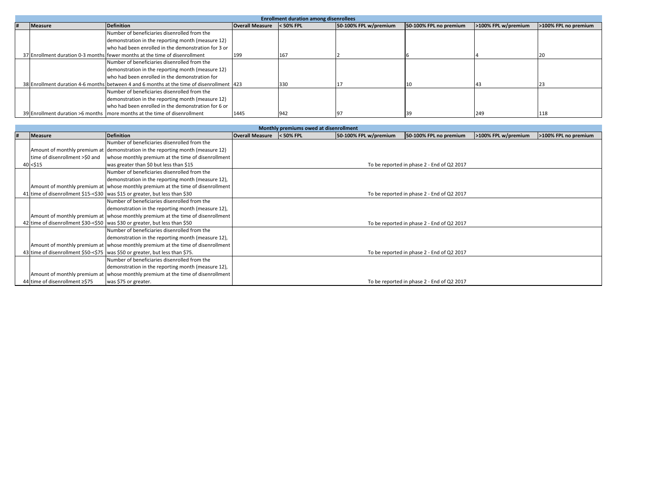| <b>Enrollment duration among disenrollees</b> |                |                                                                                            |                        |           |                       |                        |                     |                      |
|-----------------------------------------------|----------------|--------------------------------------------------------------------------------------------|------------------------|-----------|-----------------------|------------------------|---------------------|----------------------|
|                                               | <b>Measure</b> | <b>Definition</b>                                                                          | <b>Overall Measure</b> | < 50% FPL | 50-100% FPL w/premium | 50-100% FPL no premium | >100% FPL w/premium | >100% FPL no premium |
|                                               |                | Number of beneficiaries disenrolled from the                                               |                        |           |                       |                        |                     |                      |
|                                               |                | demonstration in the reporting month (measure 12)                                          |                        |           |                       |                        |                     |                      |
|                                               |                | who had been enrolled in the demonstration for 3 or                                        |                        |           |                       |                        |                     |                      |
|                                               |                | 37 Enrollment duration 0-3 months fewer months at the time of disenrollment                | 199                    | 167       |                       |                        |                     |                      |
|                                               |                | Number of beneficiaries disenrolled from the                                               |                        |           |                       |                        |                     |                      |
|                                               |                | demonstration in the reporting month (measure 12)                                          |                        |           |                       |                        |                     |                      |
|                                               |                | who had been enrolled in the demonstration for                                             |                        |           |                       |                        |                     |                      |
|                                               |                | 38 Enrollment duration 4-6 months between 4 and 6 months at the time of disenrollment 1423 |                        | 330       |                       |                        |                     |                      |
|                                               |                | Number of beneficiaries disenrolled from the                                               |                        |           |                       |                        |                     |                      |
|                                               |                | demonstration in the reporting month (measure 12)                                          |                        |           |                       |                        |                     |                      |
|                                               |                | who had been enrolled in the demonstration for 6 or                                        |                        |           |                       |                        |                     |                      |
|                                               |                | 39 Enrollment duration >6 months   more months at the time of disenrollment                | 1445                   | 942       |                       |                        | 249                 | 118                  |

| Monthly premiums owed at disenrollment |                                |                                                                                 |                        |           |                       |                                            |                     |                      |  |
|----------------------------------------|--------------------------------|---------------------------------------------------------------------------------|------------------------|-----------|-----------------------|--------------------------------------------|---------------------|----------------------|--|
|                                        | <b>Measure</b>                 | <b>Definition</b>                                                               | <b>Overall Measure</b> | < 50% FPL | 50-100% FPL w/premium | 50-100% FPL no premium                     | >100% FPL w/premium | >100% FPL no premium |  |
|                                        |                                | Number of beneficiaries disenrolled from the                                    |                        |           |                       |                                            |                     |                      |  |
|                                        |                                | Amount of monthly premium at demonstration in the reporting month (measure 12)  |                        |           |                       |                                            |                     |                      |  |
|                                        | time of disenrollment >\$0 and | whose monthly premium at the time of disenrollment                              |                        |           |                       |                                            |                     |                      |  |
|                                        | 40 < \$15                      | was greater than \$0 but less than \$15                                         |                        |           |                       | To be reported in phase 2 - End of Q2 2017 |                     |                      |  |
|                                        |                                | Number of beneficiaries disenrolled from the                                    |                        |           |                       |                                            |                     |                      |  |
|                                        |                                | demonstration in the reporting month (measure 12),                              |                        |           |                       |                                            |                     |                      |  |
|                                        |                                | Amount of monthly premium at whose monthly premium at the time of disenrollment |                        |           |                       |                                            |                     |                      |  |
|                                        |                                | 41 time of disenrollment \$15-<\$30 was \$15 or greater, but less than \$30     |                        |           |                       | To be reported in phase 2 - End of Q2 2017 |                     |                      |  |
|                                        |                                | Number of beneficiaries disenrolled from the                                    |                        |           |                       |                                            |                     |                      |  |
|                                        |                                | demonstration in the reporting month (measure 12),                              |                        |           |                       |                                            |                     |                      |  |
|                                        |                                | Amount of monthly premium at whose monthly premium at the time of disenrollment |                        |           |                       |                                            |                     |                      |  |
|                                        |                                | 42 time of disenrollment \$30-<\$50 was \$30 or greater, but less than \$50     |                        |           |                       | To be reported in phase 2 - End of Q2 2017 |                     |                      |  |
|                                        |                                | Number of beneficiaries disenrolled from the                                    |                        |           |                       |                                            |                     |                      |  |
|                                        |                                | demonstration in the reporting month (measure 12).                              |                        |           |                       |                                            |                     |                      |  |
|                                        |                                | Amount of monthly premium at whose monthly premium at the time of disenrollment |                        |           |                       |                                            |                     |                      |  |
|                                        |                                | 43 time of disenrollment \$50-<\$75 was \$50 or greater, but less than \$75.    |                        |           |                       | To be reported in phase 2 - End of Q2 2017 |                     |                      |  |
|                                        |                                | Number of beneficiaries disenrolled from the                                    |                        |           |                       |                                            |                     |                      |  |
|                                        |                                | demonstration in the reporting month (measure 12),                              |                        |           |                       |                                            |                     |                      |  |
|                                        |                                | Amount of monthly premium at whose monthly premium at the time of disenrollment |                        |           |                       |                                            |                     |                      |  |
|                                        | 44 time of disenrollment ≥\$75 | was \$75 or greater.                                                            |                        |           |                       | To be reported in phase 2 - End of Q2 2017 |                     |                      |  |